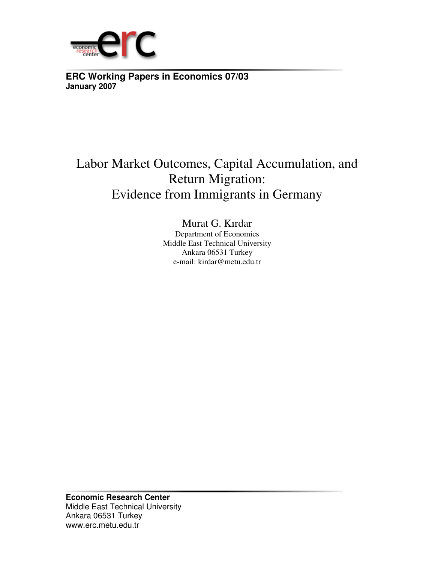

**ERC Working Papers in Economics 07/03 January 2007**

# Labor Market Outcomes, Capital Accumulation, and Return Migration: Evidence from Immigrants in Germany

Murat G. Kırdar Department of Economics Middle East Technical University Ankara 06531 Turkey e-mail: kirdar@metu.edu.tr

**Economic Research Center**  Middle East Technical University Ankara 06531 Turkey www.erc.metu.edu.tr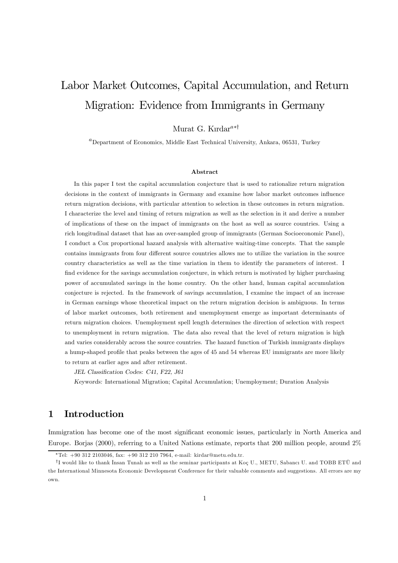# Labor Market Outcomes, Capital Accumulation, and Return Migration: Evidence from Immigrants in Germany

# Murat G. Kırdar<sup>a∗†</sup>

 ${}^{a}$ Department of Economics, Middle East Technical University, Ankara, 06531, Turkey

#### Abstract

In this paper I test the capital accumulation conjecture that is used to rationalize return migration decisions in the context of immigrants in Germany and examine how labor market outcomes influence return migration decisions, with particular attention to selection in these outcomes in return migration. I characterize the level and timing of return migration as well as the selection in it and derive a number of implications of these on the impact of immigrants on the host as well as source countries. Using a rich longitudinal dataset that has an over-sampled group of immigrants (German Socioeconomic Panel), I conduct a Cox proportional hazard analysis with alternative waiting-time concepts. That the sample contains immigrants from four different source countries allows me to utilize the variation in the source country characteristics as well as the time variation in them to identify the parameters of interest. I find evidence for the savings accumulation conjecture, in which return is motivated by higher purchasing power of accumulated savings in the home country. On the other hand, human capital accumulation conjecture is rejected. In the framework of savings accumulation, I examine the impact of an increase in German earnings whose theoretical impact on the return migration decision is ambiguous. In terms of labor market outcomes, both retirement and unemployment emerge as important determinants of return migration choices. Unemployment spell length determines the direction of selection with respect to unemployment in return migration. The data also reveal that the level of return migration is high and varies considerably across the source countries. The hazard function of Turkish immigrants displays a hump-shaped profile that peaks between the ages of 45 and 54 whereas EU immigrants are more likely to return at earlier ages and after retirement.

JEL Classification Codes: C41, F22, J61

Keywords: International Migration; Capital Accumulation; Unemployment; Duration Analysis

# 1 Introduction

Immigration has become one of the most significant economic issues, particularly in North America and Europe. Borjas (2000), referring to a United Nations estimate, reports that 200 million people, around 2%

<sup>∗</sup>Tel: +90 312 2103046, fax: +90 312 210 7964, e-mail: kirdar@metu.edu.tr.

<sup>&</sup>lt;sup>†</sup>I would like to thank Insan Tunali as well as the seminar participants at Koç U., METU, Sabancı U. and TOBB ETÜ and the International Minnesota Economic Development Conference for their valuable comments and suggestions. All errors are my own.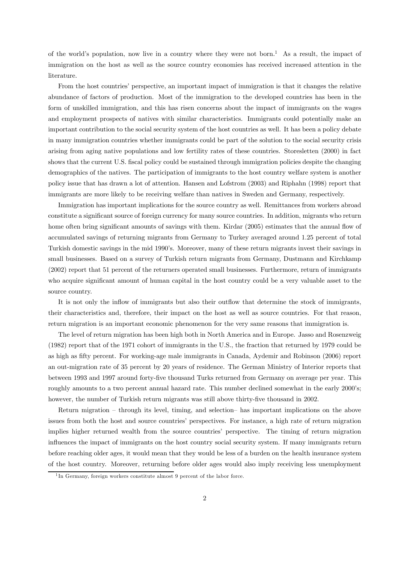of the world's population, now live in a country where they were not born.<sup>1</sup> As a result, the impact of immigration on the host as well as the source country economies has received increased attention in the literature.

From the host countries' perspective, an important impact of immigration is that it changes the relative abundance of factors of production. Most of the immigration to the developed countries has been in the form of unskilled immigration, and this has risen concerns about the impact of immigrants on the wages and employment prospects of natives with similar characteristics. Immigrants could potentially make an important contribution to the social security system of the host countries as well. It has been a policy debate in many immigration countries whether immigrants could be part of the solution to the social security crisis arising from aging native populations and low fertility rates of these countries. Storesletten (2000) in fact shows that the current U.S. fiscal policy could be sustained through immigration policies despite the changing demographics of the natives. The participation of immigrants to the host country welfare system is another policy issue that has drawn a lot of attention. Hansen and Lofstrom (2003) and Riphahn (1998) report that immigrants are more likely to be receiving welfare than natives in Sweden and Germany, respectively.

Immigration has important implications for the source country as well. Remittances from workers abroad constitute a significant source of foreign currency for many source countries. In addition, migrants who return home often bring significant amounts of savings with them. Kirdar (2005) estimates that the annual flow of accumulated savings of returning migrants from Germany to Turkey averaged around 1.25 percent of total Turkish domestic savings in the mid 1990's. Moreover, many of these return migrants invest their savings in small businesses. Based on a survey of Turkish return migrants from Germany, Dustmann and Kirchkamp (2002) report that 51 percent of the returners operated small businesses. Furthermore, return of immigrants who acquire significant amount of human capital in the host country could be a very valuable asset to the source country.

It is not only the inflow of immigrants but also their outflow that determine the stock of immigrants, their characteristics and, therefore, their impact on the host as well as source countries. For that reason, return migration is an important economic phenomenon for the very same reasons that immigration is.

The level of return migration has been high both in North America and in Europe. Jasso and Rosenzweig (1982) report that of the 1971 cohort of immigrants in the U.S., the fraction that returned by 1979 could be as high as fifty percent. For working-age male immigrants in Canada, Aydemir and Robinson (2006) report an out-migration rate of 35 percent by 20 years of residence. The German Ministry of Interior reports that between 1993 and 1997 around forty-five thousand Turks returned from Germany on average per year. This roughly amounts to a two percent annual hazard rate. This number declined somewhat in the early 2000's; however, the number of Turkish return migrants was still above thirty-five thousand in 2002.

Return migration — through its level, timing, and selection— has important implications on the above issues from both the host and source countries' perspectives. For instance, a high rate of return migration implies higher returned wealth from the source countries' perspective. The timing of return migration influences the impact of immigrants on the host country social security system. If many immigrants return before reaching older ages, it would mean that they would be less of a burden on the health insurance system of the host country. Moreover, returning before older ages would also imply receiving less unemployment

<sup>&</sup>lt;sup>1</sup>In Germany, foreign workers constitute almost 9 percent of the labor force.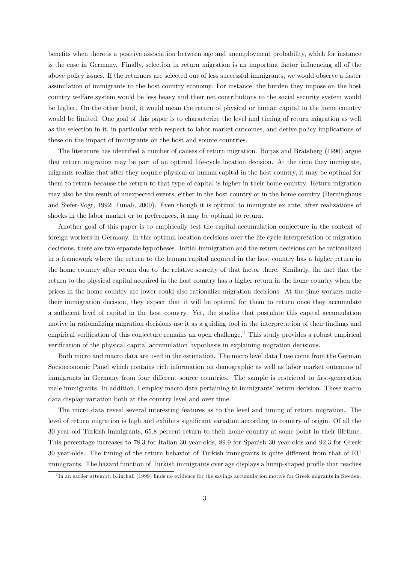benefits when there is a positive association between age and unemployment probability, which for instance is the case in Germany. Finally, selection in return migration is an important factor influencing all of the above policy issues. If the returners are selected out of less successful immigrants, we would observe a faster assimilation of immigrants to the host country economy. For instance, the burden they impose on the host country welfare system would be less heavy and their net contributions to the social security system would be higher. On the other hand, it would mean the return of physical or human capital to the home country would be limited. One goal of this paper is to characterize the level and timing of return migration as well as the selection in it, in particular with respect to labor market outcomes, and derive policy implications of these on the impact of immigrants on the host and source countries.

The literature has identified a number of causes of return migration. Borjas and Bratsberg (1996) argue that return migration may be part of an optimal life-cycle location decision. At the time they immigrate, migrants realize that after they acquire physical or human capital in the host country, it may be optimal for them to return because the return to that type of capital is higher in their home country. Return migration may also be the result of unexpected events, either in the host country or in the home country (Berninghaus and Siefer-Vogt, 1992; Tunalı, 2000). Even though it is optimal to immigrate ex ante, after realizations of shocks in the labor market or to preferences, it may be optimal to return.

Another goal of this paper is to empirically test the capital accumulation conjecture in the context of foreign workers in Germany. In this optimal location decisions over the life-cycle interpretation of migration decisions, there are two separate hypotheses. Initial immigration and the return decisions can be rationalized in a framework where the return to the human capital acquired in the host country has a higher return in the home country after return due to the relative scarcity of that factor there. Similarly, the fact that the return to the physical capital acquired in the host country has a higher return in the home country when the prices in the home country are lower could also rationalize migration decisions. At the time workers make their immigration decision, they expect that it will be optimal for them to return once they accumulate a sufficient level of capital in the host country. Yet, the studies that postulate this capital accumulation motive in rationalizing migration decisions use it as a guiding tool in the interpretation of their findings and empirical verification of this conjecture remains an open challenge. <sup>2</sup> This study provides a robust empirical verification of the physical capital accumulation hypothesis in explaining migration decisions.

Both micro and macro data are used in the estimation. The micro level data I use come from the German Socioeconomic Panel which contains rich information on demographic as well as labor market outcomes of immigrants in Germany from four different source countries. The sample is restricted to first-generation male immigrants. In addition, I employ macro data pertaining to immigrants' return decision. These macro data display variation both at the country level and over time.

The micro data reveal several interesting features as to the level and timing of return migration. The level of return migration is high and exhibits significant variation according to country of origin. Of all the 30 year-old Turkish immigrants, 65.8 percent return to their home country at some point in their lifetime. This percentage increases to 78.3 for Italian 30 year-olds, 89.9 for Spanish 30 year-olds and 92.3 for Greek 30 year-olds. The timing of the return behavior of Turkish immigrants is quite different from that of EU immigrants. The hazard function of Turkish immigrants over age displays a hump-shaped profile that reaches

 $^{2}$ In an earlier attempt, Klinthall (1999) finds no evidence for the savings accumulation motive for Greek migrants in Sweden.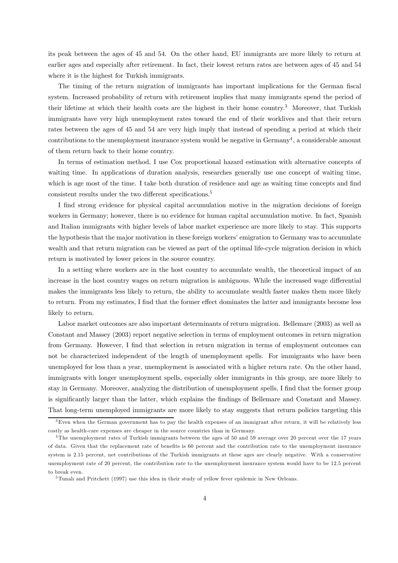its peak between the ages of 45 and 54. On the other hand, EU immigrants are more likely to return at earlier ages and especially after retirement. In fact, their lowest return rates are between ages of 45 and 54 where it is the highest for Turkish immigrants.

The timing of the return migration of immigrants has important implications for the German fiscal system. Increased probability of return with retirement implies that many immigrants spend the period of their lifetime at which their health costs are the highest in their home country.3 Moreover, that Turkish immigrants have very high unemployment rates toward the end of their worklives and that their return rates between the ages of 45 and 54 are very high imply that instead of spending a period at which their contributions to the unemployment insurance system would be negative in  $Germany<sup>4</sup>$ , a considerable amount of them return back to their home country.

In terms of estimation method, I use Cox proportional hazard estimation with alternative concepts of waiting time. In applications of duration analysis, researches generally use one concept of waiting time, which is age most of the time. I take both duration of residence and age as waiting time concepts and find consistent results under the two different specifications.<sup>5</sup>

I find strong evidence for physical capital accumulation motive in the migration decisions of foreign workers in Germany; however, there is no evidence for human capital accumulation motive. In fact, Spanish and Italian immigrants with higher levels of labor market experience are more likely to stay. This supports the hypothesis that the major motivation in these foreign workers' emigration to Germany was to accumulate wealth and that return migration can be viewed as part of the optimal life-cycle migration decision in which return is motivated by lower prices in the source country.

In a setting where workers are in the host country to accumulate wealth, the theoretical impact of an increase in the host country wages on return migration is ambiguous. While the increased wage differential makes the immigrants less likely to return, the ability to accumulate wealth faster makes them more likely to return. From my estimates, I find that the former effect dominates the latter and immigrants become less likely to return.

Labor market outcomes are also important determinants of return migration. Bellemare (2003) as well as Constant and Massey (2003) report negative selection in terms of employment outcomes in return migration from Germany. However, I find that selection in return migration in terms of employment outcomes can not be characterized independent of the length of unemployment spells. For immigrants who have been unemployed for less than a year, unemployment is associated with a higher return rate. On the other hand, immigrants with longer unemployment spells, especially older immigrants in this group, are more likely to stay in Germany. Moreover, analyzing the distribution of unemployment spells, I find that the former group is significantly larger than the latter, which explains the findings of Bellemare and Constant and Massey. That long-term unemployed immigrants are more likely to stay suggests that return policies targeting this

<sup>&</sup>lt;sup>3</sup>Even when the German government has to pay the health expenses of an immigrant after return, it will be relatively less costly as health-care expenses are cheaper in the source countries than in Germany.

<sup>4</sup>The unemployment rates of Turkish immigrants between the ages of 50 and 59 average over 20 percent over the 17 years of data. Given that the replacement rate of benefits is 60 percent and the contribution rate to the unemployment insurance system is 2.15 percent, net contributions of the Turkish immigrants at these ages are clearly negative. With a conservative unemployment rate of 20 percent, the contribution rate to the unemployment insurance system would have to be 12.5 percent to break even.

<sup>5</sup>Tunalı and Pritchett (1997) use this idea in their study of yellow fever epidemic in New Orleans.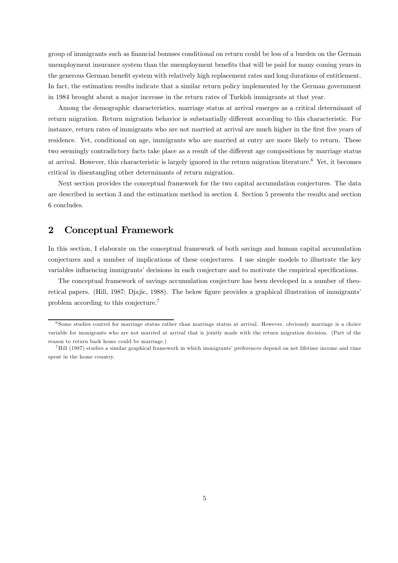group of immigrants such as financial bonuses conditional on return could be less of a burden on the German unemployment insurance system than the unemployment benefits that will be paid for many coming years in the generous German benefit system with relatively high replacement rates and long durations of entitlement. In fact, the estimation results indicate that a similar return policy implemented by the German government in 1984 brought about a major increase in the return rates of Turkish immigrants at that year.

Among the demographic characteristics, marriage status at arrival emerges as a critical determinant of return migration. Return migration behavior is substantially different according to this characteristic. For instance, return rates of immigrants who are not married at arrival are much higher in the first five years of residence. Yet, conditional on age, immigrants who are married at entry are more likely to return. These two seemingly contradictory facts take place as a result of the different age compositions by marriage status at arrival. However, this characteristic is largely ignored in the return migration literature.6 Yet, it becomes critical in disentangling other determinants of return migration.

Next section provides the conceptual framework for the two capital accumulation conjectures. The data are described in section 3 and the estimation method in section 4. Section 5 presents the results and section 6 concludes.

# 2 Conceptual Framework

In this section, I elaborate on the conceptual framework of both savings and human capital accumulation conjectures and a number of implications of these conjectures. I use simple models to illustrate the key variables influencing immigrants' decisions in each conjecture and to motivate the empirical specifications.

The conceptual framework of savings accumulation conjecture has been developed in a number of theoretical papers. (Hill, 1987; Djajic, 1988). The below figure provides a graphical illustration of immigrants' problem according to this conjecture.7

 $6$  Some studies control for marriage status rather than marriage status at arrival. However, obviously marriage is a choice variable for immigrants who are not married at arrival that is jointly made with the return migration decision. (Part of the reason to return back home could be marriage.)

<sup>7</sup>Hill (1987) studies a similar graphical framework in which immigrants' preferences depend on net lifetime income and time spent in the home country.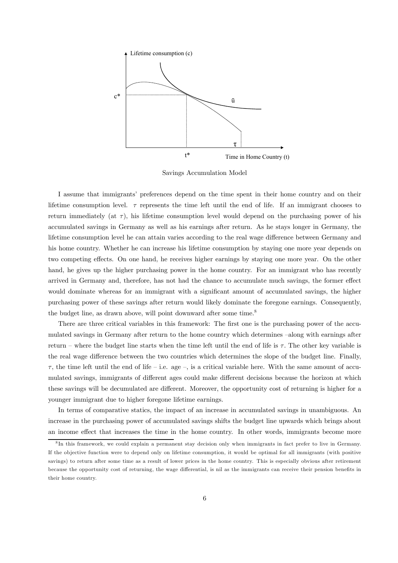

Savings Accumulation Model

I assume that immigrants' preferences depend on the time spent in their home country and on their lifetime consumption level.  $\tau$  represents the time left until the end of life. If an immigrant chooses to return immediately (at  $\tau$ ), his lifetime consumption level would depend on the purchasing power of his accumulated savings in Germany as well as his earnings after return. As he stays longer in Germany, the lifetime consumption level he can attain varies according to the real wage difference between Germany and his home country. Whether he can increase his lifetime consumption by staying one more year depends on two competing effects. On one hand, he receives higher earnings by staying one more year. On the other hand, he gives up the higher purchasing power in the home country. For an immigrant who has recently arrived in Germany and, therefore, has not had the chance to accumulate much savings, the former effect would dominate whereas for an immigrant with a significant amount of accumulated savings, the higher purchasing power of these savings after return would likely dominate the foregone earnings. Consequently, the budget line, as drawn above, will point downward after some time.<sup>8</sup>

There are three critical variables in this framework: The first one is the purchasing power of the accumulated savings in Germany after return to the home country which determines —along with earnings after return – where the budget line starts when the time left until the end of life is  $\tau$ . The other key variable is the real wage difference between the two countries which determines the slope of the budget line. Finally,  $\tau$ , the time left until the end of life – i.e. age –, is a critical variable here. With the same amount of accumulated savings, immigrants of different ages could make different decisions because the horizon at which these savings will be decumulated are different. Moreover, the opportunity cost of returning is higher for a younger immigrant due to higher foregone lifetime earnings.

In terms of comparative statics, the impact of an increase in accumulated savings in unambiguous. An increase in the purchasing power of accumulated savings shifts the budget line upwards which brings about an income effect that increases the time in the home country. In other words, immigrants become more

<sup>&</sup>lt;sup>8</sup> In this framework, we could explain a permanent stay decision only when immigrants in fact prefer to live in Germany. If the ob jective function were to depend only on lifetime consumption, it would be optimal for all immigrants (with positive savings) to return after some time as a result of lower prices in the home country. This is especially obvious after retirement because the opportunity cost of returning, the wage differential, is nil as the immigrants can receive their pension benefits in their home country.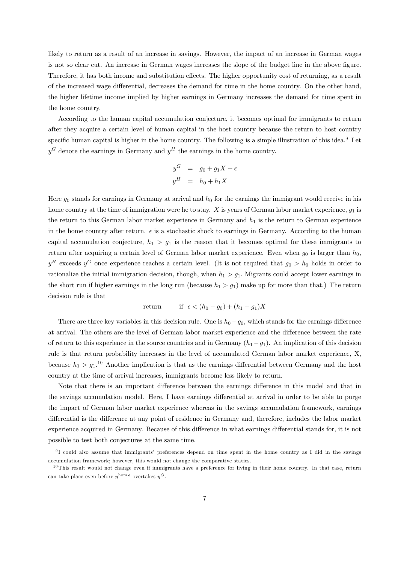likely to return as a result of an increase in savings. However, the impact of an increase in German wages is not so clear cut. An increase in German wages increases the slope of the budget line in the above figure. Therefore, it has both income and substitution effects. The higher opportunity cost of returning, as a result of the increased wage differential, decreases the demand for time in the home country. On the other hand, the higher lifetime income implied by higher earnings in Germany increases the demand for time spent in the home country.

According to the human capital accumulation conjecture, it becomes optimal for immigrants to return after they acquire a certain level of human capital in the host country because the return to host country specific human capital is higher in the home country. The following is a simple illustration of this idea.<sup>9</sup> Let  $y^G$  denote the earnings in Germany and  $y^H$  the earnings in the home country.

$$
y^G = g_0 + g_1 X + \epsilon
$$
  

$$
y^H = h_0 + h_1 X
$$

Here  $g_0$  stands for earnings in Germany at arrival and  $h_0$  for the earnings the immigrant would receive in his home country at the time of immigration were he to stay. X is years of German labor market experience,  $q_1$  is the return to this German labor market experience in Germany and  $h_1$  is the return to German experience in the home country after return.  $\epsilon$  is a stochastic shock to earnings in Germany. According to the human capital accumulation conjecture,  $h_1 > g_1$  is the reason that it becomes optimal for these immigrants to return after acquiring a certain level of German labor market experience. Even when  $g_0$  is larger than  $h_0$ ,  $y<sup>H</sup>$  exceeds  $y<sup>G</sup>$  once experience reaches a certain level. (It is not required that  $g_0 > h_0$  holds in order to rationalize the initial immigration decision, though, when  $h_1 > g_1$ . Migrants could accept lower earnings in the short run if higher earnings in the long run (because  $h_1 > g_1$ ) make up for more than that.) The return decision rule is that

$$
\text{return} \qquad \text{if } \epsilon < (h_0 - g_0) + (h_1 - g_1)X
$$

There are three key variables in this decision rule. One is  $h_0 - g_0$ , which stands for the earnings difference at arrival. The others are the level of German labor market experience and the difference between the rate of return to this experience in the source countries and in Germany  $(h_1 - g_1)$ . An implication of this decision rule is that return probability increases in the level of accumulated German labor market experience, X, because  $h_1 > g_1$ <sup>10</sup> Another implication is that as the earnings differential between Germany and the host country at the time of arrival increases, immigrants become less likely to return.

Note that there is an important difference between the earnings difference in this model and that in the savings accumulation model. Here, I have earnings differential at arrival in order to be able to purge the impact of German labor market experience whereas in the savings accumulation framework, earnings differential is the difference at any point of residence in Germany and, therefore, includes the labor market experience acquired in Germany. Because of this difference in what earnings differential stands for, it is not possible to test both conjectures at the same time.

<sup>9</sup> I could also assume that immigrants' preferences depend on time spent in the home country as I did in the savings accumulation framework; however, this would not change the comparative statics.

 $10$ This result would not change even if immigrants have a preference for living in their home country. In that case, return can take place even before  $y^{\text{hom}\, e}$  overtakes  $y^G.$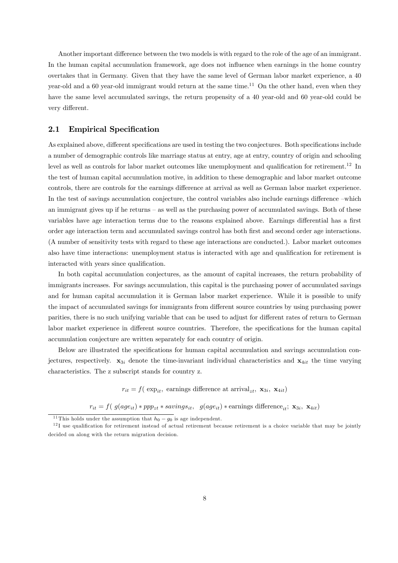Another important difference between the two models is with regard to the role of the age of an immigrant. In the human capital accumulation framework, age does not influence when earnings in the home country overtakes that in Germany. Given that they have the same level of German labor market experience, a 40 year-old and a 60 year-old immigrant would return at the same time.<sup>11</sup> On the other hand, even when they have the same level accumulated savings, the return propensity of a 40 year-old and 60 year-old could be very different.

## 2.1 Empirical Specification

As explained above, different specifications are used in testing the two conjectures. Both specifications include a number of demographic controls like marriage status at entry, age at entry, country of origin and schooling level as well as controls for labor market outcomes like unemployment and qualification for retirement.12 In the test of human capital accumulation motive, in addition to these demographic and labor market outcome controls, there are controls for the earnings difference at arrival as well as German labor market experience. In the test of savings accumulation conjecture, the control variables also include earnings difference —which an immigrant gives up if he returns — as well as the purchasing power of accumulated savings. Both of these variables have age interaction terms due to the reasons explained above. Earnings differential has a first order age interaction term and accumulated savings control has both first and second order age interactions. (A number of sensitivity tests with regard to these age interactions are conducted.). Labor market outcomes also have time interactions: unemployment status is interacted with age and qualification for retirement is interacted with years since qualification.

In both capital accumulation conjectures, as the amount of capital increases, the return probability of immigrants increases. For savings accumulation, this capital is the purchasing power of accumulated savings and for human capital accumulation it is German labor market experience. While it is possible to unify the impact of accumulated savings for immigrants from different source countries by using purchasing power parities, there is no such unifying variable that can be used to adjust for different rates of return to German labor market experience in different source countries. Therefore, the specifications for the human capital accumulation conjecture are written separately for each country of origin.

Below are illustrated the specifications for human capital accumulation and savings accumulation conjectures, respectively.  $x_{3i}$  denote the time-invariant individual characteristics and  $x_{4it}$  the time varying characteristics. The z subscript stands for country z.

 $r_{it} = f(\exp_{it}, \text{ earnings difference at arrival}_{zt}, \textbf{x}_{3i}, \textbf{x}_{4it})$ 

 $r_{it} = f(g(age_{it}) * ppp_{zt} * savings_{it}, g(age_{it}) * earnings \text{ differences}_{it}; \mathbf{x}_{3i}, \mathbf{x}_{4it})$ 

<sup>&</sup>lt;sup>11</sup>This holds under the assumption that  $h_0 - g_0$  is age independent.<br><sup>12</sup>I use qualification for retirement instead of actual retirement because retirement is a choice variable that may be jointly decided on along with the return migration decision.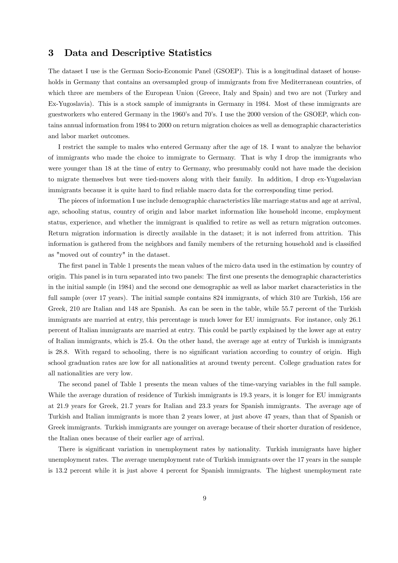# 3 Data and Descriptive Statistics

The dataset I use is the German Socio-Economic Panel (GSOEP). This is a longitudinal dataset of households in Germany that contains an oversampled group of immigrants from five Mediterranean countries, of which three are members of the European Union (Greece, Italy and Spain) and two are not (Turkey and Ex-Yugoslavia). This is a stock sample of immigrants in Germany in 1984. Most of these immigrants are guestworkers who entered Germany in the 1960's and 70's. I use the 2000 version of the GSOEP, which contains annual information from 1984 to 2000 on return migration choices as well as demographic characteristics and labor market outcomes.

I restrict the sample to males who entered Germany after the age of 18. I want to analyze the behavior of immigrants who made the choice to immigrate to Germany. That is why I drop the immigrants who were younger than 18 at the time of entry to Germany, who presumably could not have made the decision to migrate themselves but were tied-movers along with their family. In addition, I drop ex-Yugoslavian immigrants because it is quite hard to find reliable macro data for the corresponding time period.

The pieces of information I use include demographic characteristics like marriage status and age at arrival, age, schooling status, country of origin and labor market information like household income, employment status, experience, and whether the immigrant is qualified to retire as well as return migration outcomes. Return migration information is directly available in the dataset; it is not inferred from attrition. This information is gathered from the neighbors and family members of the returning household and is classified as "moved out of country" in the dataset.

The first panel in Table 1 presents the mean values of the micro data used in the estimation by country of origin. This panel is in turn separated into two panels: The first one presents the demographic characteristics in the initial sample (in 1984) and the second one demographic as well as labor market characteristics in the full sample (over 17 years). The initial sample contains 824 immigrants, of which 310 are Turkish, 156 are Greek, 210 are Italian and 148 are Spanish. As can be seen in the table, while 55.7 percent of the Turkish immigrants are married at entry, this percentage is much lower for EU immigrants. For instance, only 26.1 percent of Italian immigrants are married at entry. This could be partly explained by the lower age at entry of Italian immigrants, which is 25.4. On the other hand, the average age at entry of Turkish is immigrants is 28.8. With regard to schooling, there is no significant variation according to country of origin. High school graduation rates are low for all nationalities at around twenty percent. College graduation rates for all nationalities are very low.

The second panel of Table 1 presents the mean values of the time-varying variables in the full sample. While the average duration of residence of Turkish immigrants is 19.3 years, it is longer for EU immigrants at 21.9 years for Greek, 21.7 years for Italian and 23.3 years for Spanish immigrants. The average age of Turkish and Italian immigrants is more than 2 years lower, at just above 47 years, than that of Spanish or Greek immigrants. Turkish immigrants are younger on average because of their shorter duration of residence, the Italian ones because of their earlier age of arrival.

There is significant variation in unemployment rates by nationality. Turkish immigrants have higher unemployment rates. The average unemployment rate of Turkish immigrants over the 17 years in the sample is 13.2 percent while it is just above 4 percent for Spanish immigrants. The highest unemployment rate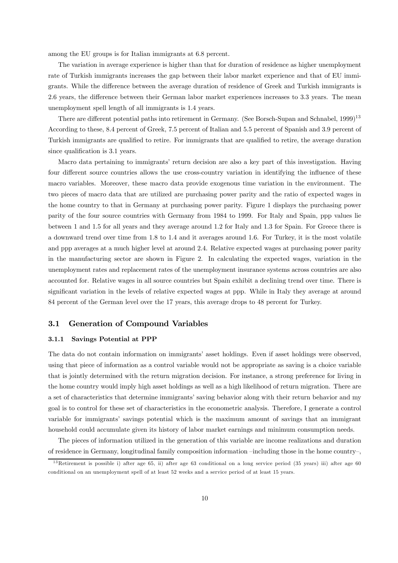among the EU groups is for Italian immigrants at 6.8 percent.

The variation in average experience is higher than that for duration of residence as higher unemployment rate of Turkish immigrants increases the gap between their labor market experience and that of EU immigrants. While the difference between the average duration of residence of Greek and Turkish immigrants is 2.6 years, the difference between their German labor market experiences increases to 3.3 years. The mean unemployment spell length of all immigrants is 1.4 years.

There are different potential paths into retirement in Germany. (See Borsch-Supan and Schnabel, 1999)<sup>13</sup> According to these, 8.4 percent of Greek, 7.5 percent of Italian and 5.5 percent of Spanish and 3.9 percent of Turkish immigrants are qualified to retire. For immigrants that are qualified to retire, the average duration since qualification is 3.1 years.

Macro data pertaining to immigrants' return decision are also a key part of this investigation. Having four different source countries allows the use cross-country variation in identifying the influence of these macro variables. Moreover, these macro data provide exogenous time variation in the environment. The two pieces of macro data that are utilized are purchasing power parity and the ratio of expected wages in the home country to that in Germany at purchasing power parity. Figure 1 displays the purchasing power parity of the four source countries with Germany from 1984 to 1999. For Italy and Spain, ppp values lie between 1 and 1.5 for all years and they average around 1.2 for Italy and 1.3 for Spain. For Greece there is a downward trend over time from 1.8 to 1.4 and it averages around 1.6. For Turkey, it is the most volatile and ppp averages at a much higher level at around 2.4. Relative expected wages at purchasing power parity in the manufacturing sector are shown in Figure 2. In calculating the expected wages, variation in the unemployment rates and replacement rates of the unemployment insurance systems across countries are also accounted for. Relative wages in all source countries but Spain exhibit a declining trend over time. There is significant variation in the levels of relative expected wages at ppp. While in Italy they average at around 84 percent of the German level over the 17 years, this average drops to 48 percent for Turkey.

#### 3.1 Generation of Compound Variables

#### 3.1.1 Savings Potential at PPP

The data do not contain information on immigrants' asset holdings. Even if asset holdings were observed, using that piece of information as a control variable would not be appropriate as saving is a choice variable that is jointly determined with the return migration decision. For instance, a strong preference for living in the home country would imply high asset holdings as well as a high likelihood of return migration. There are a set of characteristics that determine immigrants' saving behavior along with their return behavior and my goal is to control for these set of characteristics in the econometric analysis. Therefore, I generate a control variable for immigrants' savings potential which is the maximum amount of savings that an immigrant household could accumulate given its history of labor market earnings and minimum consumption needs.

The pieces of information utilized in the generation of this variable are income realizations and duration of residence in Germany, longitudinal family composition information —including those in the home country—,

<sup>&</sup>lt;sup>13</sup>Retirement is possible i) after age 65, ii) after age 63 conditional on a long service period (35 years) iii) after age 60 conditional on an unemployment spell of at least 52 weeks and a service period of at least 15 years.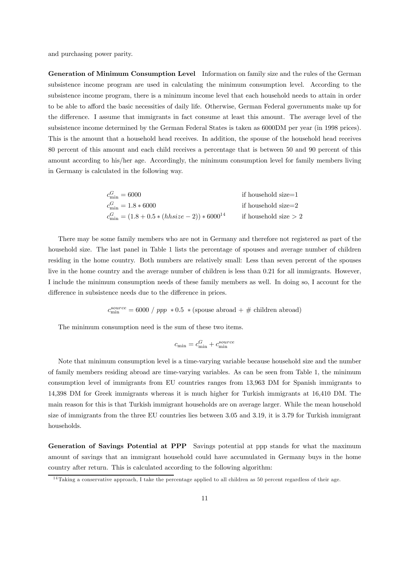and purchasing power parity.

Generation of Minimum Consumption Level Information on family size and the rules of the German subsistence income program are used in calculating the minimum consumption level. According to the subsistence income program, there is a minimum income level that each household needs to attain in order to be able to afford the basic necessities of daily life. Otherwise, German Federal governments make up for the difference. I assume that immigrants in fact consume at least this amount. The average level of the subsistence income determined by the German Federal States is taken as 6000DM per year (in 1998 prices). This is the amount that a household head receives. In addition, the spouse of the household head receives 80 percent of this amount and each child receives a percentage that is between 50 and 90 percent of this amount according to his/her age. Accordingly, the minimum consumption level for family members living in Germany is calculated in the following way.

| $c_{\min}^G = 6000$                                   | if household size=1    |
|-------------------------------------------------------|------------------------|
| $c_{\min}^G = 1.8 * 6000$                             | if household size=2    |
| $c_{\min}^G = (1.8 + 0.5 * (hhsize - 2)) * 6000^{14}$ | if household size $>2$ |

There may be some family members who are not in Germany and therefore not registered as part of the household size. The last panel in Table 1 lists the percentage of spouses and average number of children residing in the home country. Both numbers are relatively small: Less than seven percent of the spouses live in the home country and the average number of children is less than 0.21 for all immigrants. However, I include the minimum consumption needs of these family members as well. In doing so, I account for the difference in subsistence needs due to the difference in prices.

 $c_{\text{min}}^{source} = 6000$  /  $ppp \ * 0.5 \ * (s \text{pouse abroad} + \# \text{ children abroad})$ 

The minimum consumption need is the sum of these two items.

$$
c_{\min}=c^G_{\min}+c^{source}_{\min}
$$

Note that minimum consumption level is a time-varying variable because household size and the number of family members residing abroad are time-varying variables. As can be seen from Table 1, the minimum consumption level of immigrants from EU countries ranges from 13,963 DM for Spanish immigrants to 14,398 DM for Greek immigrants whereas it is much higher for Turkish immigrants at 16,410 DM. The main reason for this is that Turkish immigrant households are on average larger. While the mean household size of immigrants from the three EU countries lies between 3.05 and 3.19, it is 3.79 for Turkish immigrant households.

Generation of Savings Potential at PPP Savings potential at ppp stands for what the maximum amount of savings that an immigrant household could have accumulated in Germany buys in the home country after return. This is calculated according to the following algorithm:

 $14$ Taking a conservative approach, I take the percentage applied to all children as 50 percent regardless of their age.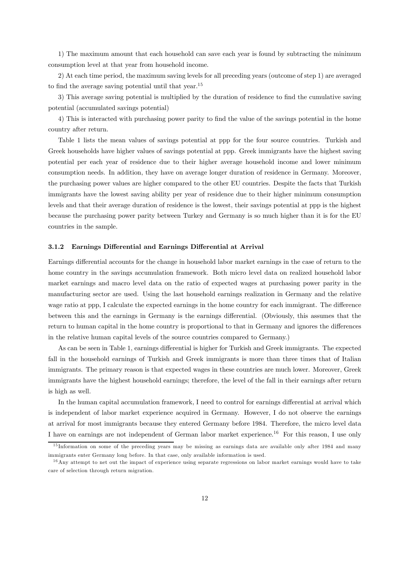1) The maximum amount that each household can save each year is found by subtracting the minimum consumption level at that year from household income.

2) At each time period, the maximum saving levels for all preceding years (outcome of step 1) are averaged to find the average saving potential until that year.15

3) This average saving potential is multiplied by the duration of residence to find the cumulative saving potential (accumulated savings potential)

4) This is interacted with purchasing power parity to find the value of the savings potential in the home country after return.

Table 1 lists the mean values of savings potential at ppp for the four source countries. Turkish and Greek households have higher values of savings potential at ppp. Greek immigrants have the highest saving potential per each year of residence due to their higher average household income and lower minimum consumption needs. In addition, they have on average longer duration of residence in Germany. Moreover, the purchasing power values are higher compared to the other EU countries. Despite the facts that Turkish immigrants have the lowest saving ability per year of residence due to their higher minimum consumption levels and that their average duration of residence is the lowest, their savings potential at ppp is the highest because the purchasing power parity between Turkey and Germany is so much higher than it is for the EU countries in the sample.

#### 3.1.2 Earnings Differential and Earnings Differential at Arrival

Earnings differential accounts for the change in household labor market earnings in the case of return to the home country in the savings accumulation framework. Both micro level data on realized household labor market earnings and macro level data on the ratio of expected wages at purchasing power parity in the manufacturing sector are used. Using the last household earnings realization in Germany and the relative wage ratio at ppp, I calculate the expected earnings in the home country for each immigrant. The difference between this and the earnings in Germany is the earnings differential. (Obviously, this assumes that the return to human capital in the home country is proportional to that in Germany and ignores the differences in the relative human capital levels of the source countries compared to Germany.)

As can be seen in Table 1, earnings differential is higher for Turkish and Greek immigrants. The expected fall in the household earnings of Turkish and Greek immigrants is more than three times that of Italian immigrants. The primary reason is that expected wages in these countries are much lower. Moreover, Greek immigrants have the highest household earnings; therefore, the level of the fall in their earnings after return is high as well.

In the human capital accumulation framework, I need to control for earnings differential at arrival which is independent of labor market experience acquired in Germany. However, I do not observe the earnings at arrival for most immigrants because they entered Germany before 1984. Therefore, the micro level data I have on earnings are not independent of German labor market experience.16 For this reason, I use only

<sup>&</sup>lt;sup>15</sup> Information on some of the preceding years may be missing as earnings data are available only after 1984 and many immigrants enter Germany long before. In that case, only available information is used.

 $16$  Any attempt to net out the impact of experience using separate regressions on labor market earnings would have to take care of selection through return migration.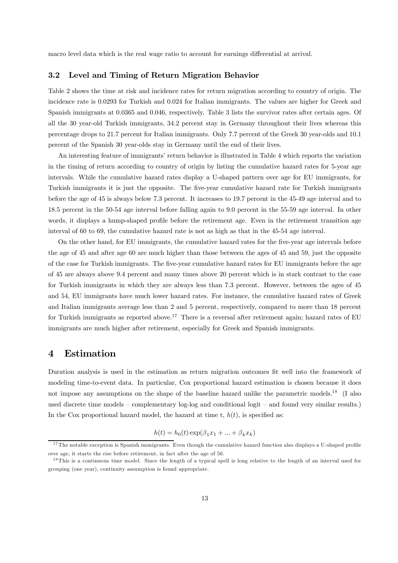macro level data which is the real wage ratio to account for earnings differential at arrival.

## 3.2 Level and Timing of Return Migration Behavior

Table 2 shows the time at risk and incidence rates for return migration according to country of origin. The incidence rate is 0.0293 for Turkish and 0.024 for Italian immigrants. The values are higher for Greek and Spanish immigrants at 0.0365 and 0.046, respectively. Table 3 lists the survivor rates after certain ages. Of all the 30 year-old Turkish immigrants, 34.2 percent stay in Germany throughout their lives whereas this percentage drops to 21.7 percent for Italian immigrants. Only 7.7 percent of the Greek 30 year-olds and 10.1 percent of the Spanish 30 year-olds stay in Germany until the end of their lives.

An interesting feature of immigrants' return behavior is illustrated in Table 4 which reports the variation in the timing of return according to country of origin by listing the cumulative hazard rates for 5-year age intervals. While the cumulative hazard rates display a U-shaped pattern over age for EU immigrants, for Turkish immigrants it is just the opposite. The five-year cumulative hazard rate for Turkish immigrants before the age of 45 is always below 7.3 percent. It increases to 19.7 percent in the 45-49 age interval and to 18.5 percent in the 50-54 age interval before falling again to 9.0 percent in the 55-59 age interval. In other words, it displays a hump-shaped profile before the retirement age. Even in the retirement transition age interval of 60 to 69, the cumulative hazard rate is not as high as that in the 45-54 age interval.

On the other hand, for EU immigrants, the cumulative hazard rates for the five-year age intervals before the age of 45 and after age 60 are much higher than those between the ages of 45 and 59, just the opposite of the case for Turkish immigrants. The five-year cumulative hazard rates for EU immigrants before the age of 45 are always above 9.4 percent and many times above 20 percent which is in stark contrast to the case for Turkish immigrants in which they are always less than 7.3 percent. However, between the ages of 45 and 54, EU immigrants have much lower hazard rates. For instance, the cumulative hazard rates of Greek and Italian immigrants average less than 2 and 5 percent, respectively, compared to more than 18 percent for Turkish immigrants as reported above.<sup>17</sup> There is a reversal after retirement again; hazard rates of EU immigrants are much higher after retirement, especially for Greek and Spanish immigrants.

# 4 Estimation

Duration analysis is used in the estimation as return migration outcomes fit well into the framework of modeling time-to-event data. In particular, Cox proportional hazard estimation is chosen because it does not impose any assumptions on the shape of the baseline hazard unlike the parametric models.18 (I also used discrete time models — complementary log-log and conditional logit — and found very similar results.) In the Cox proportional hazard model, the hazard at time t,  $h(t)$ , is specified as:

$$
h(t) = h_0(t) \exp(\beta_1 x_1 + \dots + \beta_k x_k)
$$

 $17$ The notable exception is Spanish immigrants. Even though the cumulative hazard function also displays a U-shaped profile over age, it starts the rise before retirement, in fact after the age of 50.

<sup>&</sup>lt;sup>18</sup>This is a continuous time model. Since the length of a typical spell is long relative to the length of an interval used for grouping (one year), continuity assumption is found appropriate.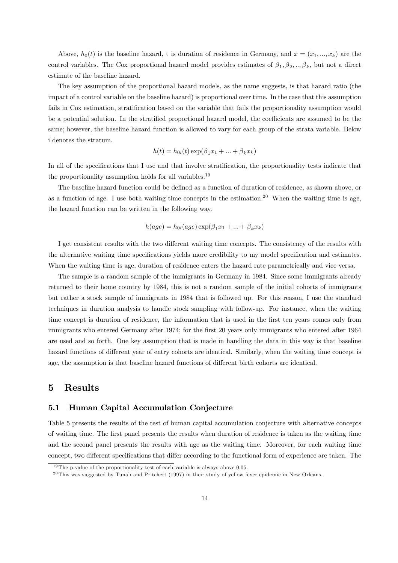Above,  $h_0(t)$  is the baseline hazard, t is duration of residence in Germany, and  $x = (x_1, ..., x_k)$  are the control variables. The Cox proportional hazard model provides estimates of  $\beta_1, \beta_2, ..., \beta_k$ , but not a direct estimate of the baseline hazard.

The key assumption of the proportional hazard models, as the name suggests, is that hazard ratio (the impact of a control variable on the baseline hazard) is proportional over time. In the case that this assumption fails in Cox estimation, stratification based on the variable that fails the proportionality assumption would be a potential solution. In the stratified proportional hazard model, the coefficients are assumed to be the same; however, the baseline hazard function is allowed to vary for each group of the strata variable. Below i denotes the stratum.

$$
h(t) = h_{0i}(t) \exp(\beta_1 x_1 + \dots + \beta_k x_k)
$$

In all of the specifications that I use and that involve stratification, the proportionality tests indicate that the proportionality assumption holds for all variables.<sup>19</sup>

The baseline hazard function could be defined as a function of duration of residence, as shown above, or as a function of age. I use both waiting time concepts in the estimation.<sup>20</sup> When the waiting time is age, the hazard function can be written in the following way.

$$
h(age) = h_{0i}(age) \exp(\beta_1 x_1 + \dots + \beta_k x_k)
$$

I get consistent results with the two different waiting time concepts. The consistency of the results with the alternative waiting time specifications yields more credibility to my model specification and estimates. When the waiting time is age, duration of residence enters the hazard rate parametrically and vice versa.

The sample is a random sample of the immigrants in Germany in 1984. Since some immigrants already returned to their home country by 1984, this is not a random sample of the initial cohorts of immigrants but rather a stock sample of immigrants in 1984 that is followed up. For this reason, I use the standard techniques in duration analysis to handle stock sampling with follow-up. For instance, when the waiting time concept is duration of residence, the information that is used in the first ten years comes only from immigrants who entered Germany after 1974; for the first 20 years only immigrants who entered after 1964 are used and so forth. One key assumption that is made in handling the data in this way is that baseline hazard functions of different year of entry cohorts are identical. Similarly, when the waiting time concept is age, the assumption is that baseline hazard functions of different birth cohorts are identical.

# 5 Results

### 5.1 Human Capital Accumulation Conjecture

Table 5 presents the results of the test of human capital accumulation conjecture with alternative concepts of waiting time. The first panel presents the results when duration of residence is taken as the waiting time and the second panel presents the results with age as the waiting time. Moreover, for each waiting time concept, two different specifications that differ according to the functional form of experience are taken. The

 $19$ The p-value of the proportionality test of each variable is always above 0.05.

 $^{20}$ This was suggested by Tunalı and Pritchett (1997) in their study of yellow fever epidemic in New Orleans.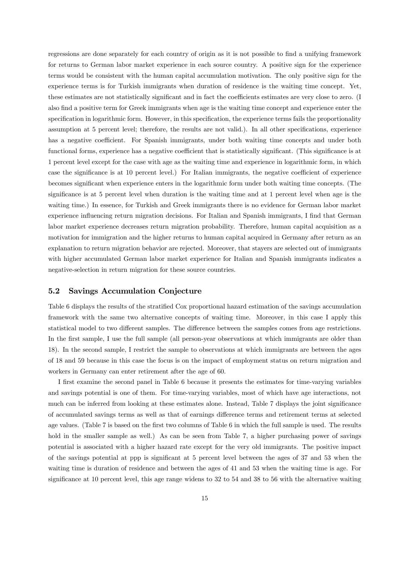regressions are done separately for each country of origin as it is not possible to find a unifying framework for returns to German labor market experience in each source country. A positive sign for the experience terms would be consistent with the human capital accumulation motivation. The only positive sign for the experience terms is for Turkish immigrants when duration of residence is the waiting time concept. Yet, these estimates are not statistically significant and in fact the coefficients estimates are very close to zero. (I also find a positive term for Greek immigrants when age is the waiting time concept and experience enter the specification in logarithmic form. However, in this specification, the experience terms fails the proportionality assumption at 5 percent level; therefore, the results are not valid.). In all other specifications, experience has a negative coefficient. For Spanish immigrants, under both waiting time concepts and under both functional forms, experience has a negative coefficient that is statistically significant. (This significance is at 1 percent level except for the case with age as the waiting time and experience in logarithmic form, in which case the significance is at 10 percent level.) For Italian immigrants, the negative coefficient of experience becomes significant when experience enters in the logarithmic form under both waiting time concepts. (The significance is at 5 percent level when duration is the waiting time and at 1 percent level when age is the waiting time.) In essence, for Turkish and Greek immigrants there is no evidence for German labor market experience influencing return migration decisions. For Italian and Spanish immigrants, I find that German labor market experience decreases return migration probability. Therefore, human capital acquisition as a motivation for immigration and the higher returns to human capital acquired in Germany after return as an explanation to return migration behavior are rejected. Moreover, that stayers are selected out of immigrants with higher accumulated German labor market experience for Italian and Spanish immigrants indicates a negative-selection in return migration for these source countries.

## 5.2 Savings Accumulation Conjecture

Table 6 displays the results of the stratified Cox proportional hazard estimation of the savings accumulation framework with the same two alternative concepts of waiting time. Moreover, in this case I apply this statistical model to two different samples. The difference between the samples comes from age restrictions. In the first sample, I use the full sample (all person-year observations at which immigrants are older than 18). In the second sample, I restrict the sample to observations at which immigrants are between the ages of 18 and 59 because in this case the focus is on the impact of employment status on return migration and workers in Germany can enter retirement after the age of 60.

I first examine the second panel in Table 6 because it presents the estimates for time-varying variables and savings potential is one of them. For time-varying variables, most of which have age interactions, not much can be inferred from looking at these estimates alone. Instead, Table 7 displays the joint significance of accumulated savings terms as well as that of earnings difference terms and retirement terms at selected age values. (Table 7 is based on the first two columns of Table 6 in which the full sample is used. The results hold in the smaller sample as well.) As can be seen from Table 7, a higher purchasing power of savings potential is associated with a higher hazard rate except for the very old immigrants. The positive impact of the savings potential at ppp is significant at 5 percent level between the ages of 37 and 53 when the waiting time is duration of residence and between the ages of 41 and 53 when the waiting time is age. For significance at 10 percent level, this age range widens to 32 to 54 and 38 to 56 with the alternative waiting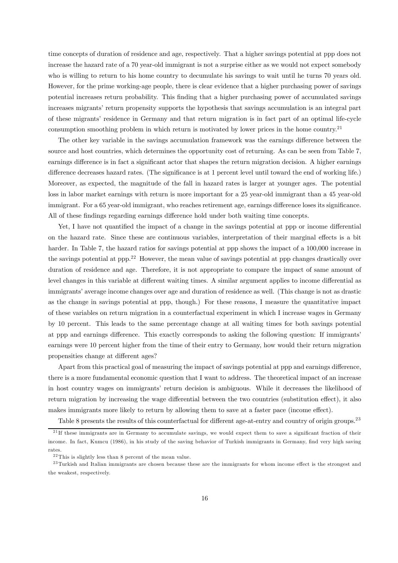time concepts of duration of residence and age, respectively. That a higher savings potential at ppp does not increase the hazard rate of a 70 year-old immigrant is not a surprise either as we would not expect somebody who is willing to return to his home country to decumulate his savings to wait until he turns 70 years old. However, for the prime working-age people, there is clear evidence that a higher purchasing power of savings potential increases return probability. This finding that a higher purchasing power of accumulated savings increases migrants' return propensity supports the hypothesis that savings accumulation is an integral part of these migrants' residence in Germany and that return migration is in fact part of an optimal life-cycle consumption smoothing problem in which return is motivated by lower prices in the home country.<sup>21</sup>

The other key variable in the savings accumulation framework was the earnings difference between the source and host countries, which determines the opportunity cost of returning. As can be seen from Table 7, earnings difference is in fact a significant actor that shapes the return migration decision. A higher earnings difference decreases hazard rates. (The significance is at 1 percent level until toward the end of working life.) Moreover, as expected, the magnitude of the fall in hazard rates is larger at younger ages. The potential loss in labor market earnings with return is more important for a 25 year-old immigrant than a 45 year-old immigrant. For a 65 year-old immigrant, who reaches retirement age, earnings difference loses its significance. All of these findings regarding earnings difference hold under both waiting time concepts.

Yet, I have not quantified the impact of a change in the savings potential at ppp or income differential on the hazard rate. Since these are continuous variables, interpretation of their marginal effects is a bit harder. In Table 7, the hazard ratios for savings potential at ppp shows the impact of a 100,000 increase in the savings potential at ppp.<sup>22</sup> However, the mean value of savings potential at ppp changes drastically over duration of residence and age. Therefore, it is not appropriate to compare the impact of same amount of level changes in this variable at different waiting times. A similar argument applies to income differential as immigrants' average income changes over age and duration of residence as well. (This change is not as drastic as the change in savings potential at ppp, though.) For these reasons, I measure the quantitative impact of these variables on return migration in a counterfactual experiment in which I increase wages in Germany by 10 percent. This leads to the same percentage change at all waiting times for both savings potential at ppp and earnings difference. This exactly corresponds to asking the following question: If immigrants' earnings were 10 percent higher from the time of their entry to Germany, how would their return migration propensities change at different ages?

Apart from this practical goal of measuring the impact of savings potential at ppp and earnings difference, there is a more fundamental economic question that I want to address. The theoretical impact of an increase in host country wages on immigrants' return decision is ambiguous. While it decreases the likelihood of return migration by increasing the wage differential between the two countries (substitution effect), it also makes immigrants more likely to return by allowing them to save at a faster pace (income effect).

Table 8 presents the results of this counterfactual for different age-at-entry and country of origin groups.<sup>23</sup>

<sup>&</sup>lt;sup>21</sup>If these immigrants are in Germany to accumulate savings, we would expect them to save a significant fraction of their income. In fact, Kumcu (1986), in his study of the saving behavior of Turkish immigrants in Germany, find very high saving rates.

 $^{22}\mathrm{This}$  is slightly less than 8 percent of the mean value.

 $^{23}$ Turkish and Italian immigrants are chosen because these are the immigrants for whom income effect is the strongest and the weakest, respectively.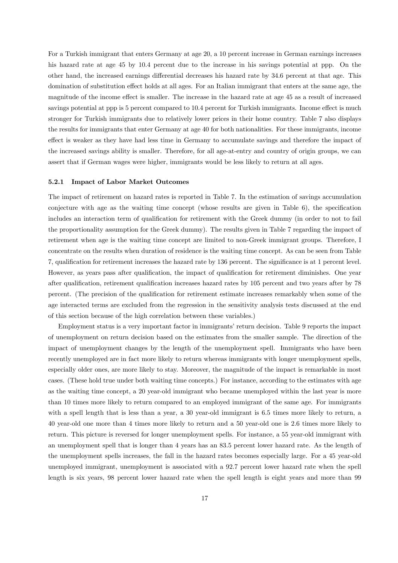For a Turkish immigrant that enters Germany at age 20, a 10 percent increase in German earnings increases his hazard rate at age 45 by 10.4 percent due to the increase in his savings potential at ppp. On the other hand, the increased earnings differential decreases his hazard rate by 34.6 percent at that age. This domination of substitution effect holds at all ages. For an Italian immigrant that enters at the same age, the magnitude of the income effect is smaller. The increase in the hazard rate at age 45 as a result of increased savings potential at ppp is 5 percent compared to 10.4 percent for Turkish immigrants. Income effect is much stronger for Turkish immigrants due to relatively lower prices in their home country. Table 7 also displays the results for immigrants that enter Germany at age 40 for both nationalities. For these immigrants, income effect is weaker as they have had less time in Germany to accumulate savings and therefore the impact of the increased savings ability is smaller. Therefore, for all age-at-entry and country of origin groups, we can assert that if German wages were higher, immigrants would be less likely to return at all ages.

#### 5.2.1 Impact of Labor Market Outcomes

The impact of retirement on hazard rates is reported in Table 7. In the estimation of savings accumulation conjecture with age as the waiting time concept (whose results are given in Table 6), the specification includes an interaction term of qualification for retirement with the Greek dummy (in order to not to fail the proportionality assumption for the Greek dummy). The results given in Table 7 regarding the impact of retirement when age is the waiting time concept are limited to non-Greek immigrant groups. Therefore, I concentrate on the results when duration of residence is the waiting time concept. As can be seen from Table 7, qualification for retirement increases the hazard rate by 136 percent. The significance is at 1 percent level. However, as years pass after qualification, the impact of qualification for retirement diminishes. One year after qualification, retirement qualification increases hazard rates by 105 percent and two years after by 78 percent. (The precision of the qualification for retirement estimate increases remarkably when some of the age interacted terms are excluded from the regression in the sensitivity analysis tests discussed at the end of this section because of the high correlation between these variables.)

Employment status is a very important factor in immigrants' return decision. Table 9 reports the impact of unemployment on return decision based on the estimates from the smaller sample. The direction of the impact of unemployment changes by the length of the unemployment spell. Immigrants who have been recently unemployed are in fact more likely to return whereas immigrants with longer unemployment spells, especially older ones, are more likely to stay. Moreover, the magnitude of the impact is remarkable in most cases. (These hold true under both waiting time concepts.) For instance, according to the estimates with age as the waiting time concept, a 20 year-old immigrant who became unemployed within the last year is more than 10 times more likely to return compared to an employed immigrant of the same age. For immigrants with a spell length that is less than a year, a 30 year-old immigrant is 6.5 times more likely to return, a 40 year-old one more than 4 times more likely to return and a 50 year-old one is 2.6 times more likely to return. This picture is reversed for longer unemployment spells. For instance, a 55 year-old immigrant with an unemployment spell that is longer than 4 years has an 83.5 percent lower hazard rate. As the length of the unemployment spells increases, the fall in the hazard rates becomes especially large. For a 45 year-old unemployed immigrant, unemployment is associated with a 92.7 percent lower hazard rate when the spell length is six years, 98 percent lower hazard rate when the spell length is eight years and more than 99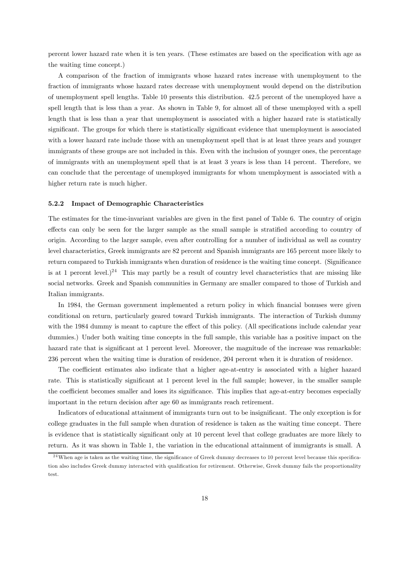percent lower hazard rate when it is ten years. (These estimates are based on the specification with age as the waiting time concept.)

A comparison of the fraction of immigrants whose hazard rates increase with unemployment to the fraction of immigrants whose hazard rates decrease with unemployment would depend on the distribution of unemployment spell lengths. Table 10 presents this distribution. 42.5 percent of the unemployed have a spell length that is less than a year. As shown in Table 9, for almost all of these unemployed with a spell length that is less than a year that unemployment is associated with a higher hazard rate is statistically significant. The groups for which there is statistically significant evidence that unemployment is associated with a lower hazard rate include those with an unemployment spell that is at least three years and younger immigrants of these groups are not included in this. Even with the inclusion of younger ones, the percentage of immigrants with an unemployment spell that is at least 3 years is less than 14 percent. Therefore, we can conclude that the percentage of unemployed immigrants for whom unemployment is associated with a higher return rate is much higher.

#### 5.2.2 Impact of Demographic Characteristics

The estimates for the time-invariant variables are given in the first panel of Table 6. The country of origin effects can only be seen for the larger sample as the small sample is stratified according to country of origin. According to the larger sample, even after controlling for a number of individual as well as country level characteristics, Greek immigrants are 82 percent and Spanish immigrants are 165 percent more likely to return compared to Turkish immigrants when duration of residence is the waiting time concept. (Significance is at 1 percent level.)<sup>24</sup> This may partly be a result of country level characteristics that are missing like social networks. Greek and Spanish communities in Germany are smaller compared to those of Turkish and Italian immigrants.

In 1984, the German government implemented a return policy in which financial bonuses were given conditional on return, particularly geared toward Turkish immigrants. The interaction of Turkish dummy with the 1984 dummy is meant to capture the effect of this policy. (All specifications include calendar year dummies.) Under both waiting time concepts in the full sample, this variable has a positive impact on the hazard rate that is significant at 1 percent level. Moreover, the magnitude of the increase was remarkable: 236 percent when the waiting time is duration of residence, 204 percent when it is duration of residence.

The coefficient estimates also indicate that a higher age-at-entry is associated with a higher hazard rate. This is statistically significant at 1 percent level in the full sample; however, in the smaller sample the coefficient becomes smaller and loses its significance. This implies that age-at-entry becomes especially important in the return decision after age 60 as immigrants reach retirement.

Indicators of educational attainment of immigrants turn out to be insignificant. The only exception is for college graduates in the full sample when duration of residence is taken as the waiting time concept. There is evidence that is statistically significant only at 10 percent level that college graduates are more likely to return. As it was shown in Table 1, the variation in the educational attainment of immigrants is small. A

<sup>&</sup>lt;sup>24</sup>When age is taken as the waiting time, the significance of Greek dummy decreases to 10 percent level because this specification also includes Greek dummy interacted with qualification for retirement. Otherwise, Greek dummy fails the proportionality test.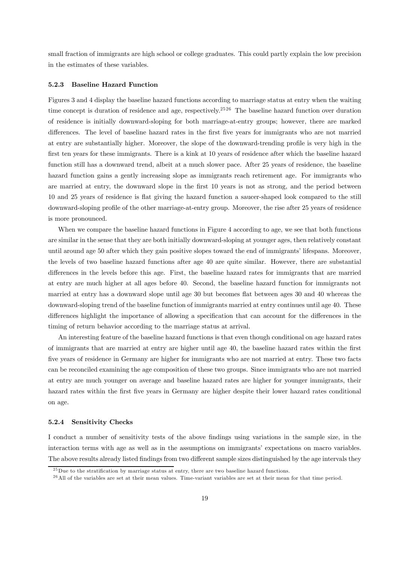small fraction of immigrants are high school or college graduates. This could partly explain the low precision in the estimates of these variables.

#### 5.2.3 Baseline Hazard Function

Figures 3 and 4 display the baseline hazard functions according to marriage status at entry when the waiting time concept is duration of residence and age, respectively.<sup>2526</sup> The baseline hazard function over duration of residence is initially downward-sloping for both marriage-at-entry groups; however, there are marked differences. The level of baseline hazard rates in the first five years for immigrants who are not married at entry are substantially higher. Moreover, the slope of the downward-trending profile is very high in the first ten years for these immigrants. There is a kink at 10 years of residence after which the baseline hazard function still has a downward trend, albeit at a much slower pace. After 25 years of residence, the baseline hazard function gains a gently increasing slope as immigrants reach retirement age. For immigrants who are married at entry, the downward slope in the first 10 years is not as strong, and the period between 10 and 25 years of residence is flat giving the hazard function a saucer-shaped look compared to the still downward-sloping profile of the other marriage-at-entry group. Moreover, the rise after 25 years of residence is more pronounced.

When we compare the baseline hazard functions in Figure 4 according to age, we see that both functions are similar in the sense that they are both initially downward-sloping at younger ages, then relatively constant until around age 50 after which they gain positive slopes toward the end of immigrants' lifespans. Moreover, the levels of two baseline hazard functions after age 40 are quite similar. However, there are substantial differences in the levels before this age. First, the baseline hazard rates for immigrants that are married at entry are much higher at all ages before 40. Second, the baseline hazard function for immigrants not married at entry has a downward slope until age 30 but becomes flat between ages 30 and 40 whereas the downward-sloping trend of the baseline function of immigrants married at entry continues until age 40. These differences highlight the importance of allowing a specification that can account for the differences in the timing of return behavior according to the marriage status at arrival.

An interesting feature of the baseline hazard functions is that even though conditional on age hazard rates of immigrants that are married at entry are higher until age 40, the baseline hazard rates within the first five years of residence in Germany are higher for immigrants who are not married at entry. These two facts can be reconciled examining the age composition of these two groups. Since immigrants who are not married at entry are much younger on average and baseline hazard rates are higher for younger immigrants, their hazard rates within the first five years in Germany are higher despite their lower hazard rates conditional on age.

#### 5.2.4 Sensitivity Checks

I conduct a number of sensitivity tests of the above findings using variations in the sample size, in the interaction terms with age as well as in the assumptions on immigrants' expectations on macro variables. The above results already listed findings from two different sample sizes distinguished by the age intervals they

 $^{25}$ Due to the stratification by marriage status at entry, there are two baseline hazard functions.

 $^{26}$  All of the variables are set at their mean values. Time-variant variables are set at their mean for that time period.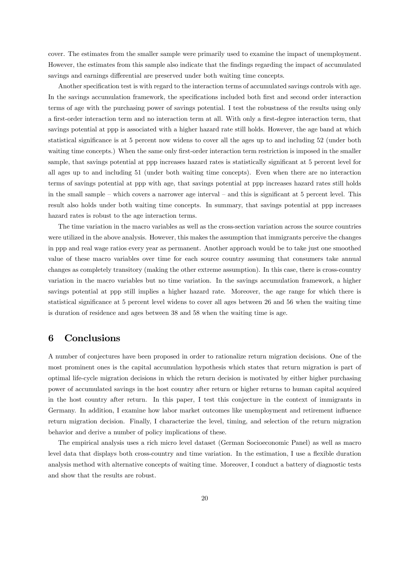cover. The estimates from the smaller sample were primarily used to examine the impact of unemployment. However, the estimates from this sample also indicate that the findings regarding the impact of accumulated savings and earnings differential are preserved under both waiting time concepts.

Another specification test is with regard to the interaction terms of accumulated savings controls with age. In the savings accumulation framework, the specifications included both first and second order interaction terms of age with the purchasing power of savings potential. I test the robustness of the results using only a first-order interaction term and no interaction term at all. With only a first-degree interaction term, that savings potential at ppp is associated with a higher hazard rate still holds. However, the age band at which statistical significance is at 5 percent now widens to cover all the ages up to and including 52 (under both waiting time concepts.) When the same only first-order interaction term restriction is imposed in the smaller sample, that savings potential at ppp increases hazard rates is statistically significant at 5 percent level for all ages up to and including 51 (under both waiting time concepts). Even when there are no interaction terms of savings potential at ppp with age, that savings potential at ppp increases hazard rates still holds in the small sample — which covers a narrower age interval — and this is significant at 5 percent level. This result also holds under both waiting time concepts. In summary, that savings potential at ppp increases hazard rates is robust to the age interaction terms.

The time variation in the macro variables as well as the cross-section variation across the source countries were utilized in the above analysis. However, this makes the assumption that immigrants perceive the changes in ppp and real wage ratios every year as permanent. Another approach would be to take just one smoothed value of these macro variables over time for each source country assuming that consumers take annual changes as completely transitory (making the other extreme assumption). In this case, there is cross-country variation in the macro variables but no time variation. In the savings accumulation framework, a higher savings potential at ppp still implies a higher hazard rate. Moreover, the age range for which there is statistical significance at 5 percent level widens to cover all ages between 26 and 56 when the waiting time is duration of residence and ages between 38 and 58 when the waiting time is age.

# 6 Conclusions

A number of conjectures have been proposed in order to rationalize return migration decisions. One of the most prominent ones is the capital accumulation hypothesis which states that return migration is part of optimal life-cycle migration decisions in which the return decision is motivated by either higher purchasing power of accumulated savings in the host country after return or higher returns to human capital acquired in the host country after return. In this paper, I test this conjecture in the context of immigrants in Germany. In addition, I examine how labor market outcomes like unemployment and retirement influence return migration decision. Finally, I characterize the level, timing, and selection of the return migration behavior and derive a number of policy implications of these.

The empirical analysis uses a rich micro level dataset (German Socioeconomic Panel) as well as macro level data that displays both cross-country and time variation. In the estimation, I use a flexible duration analysis method with alternative concepts of waiting time. Moreover, I conduct a battery of diagnostic tests and show that the results are robust.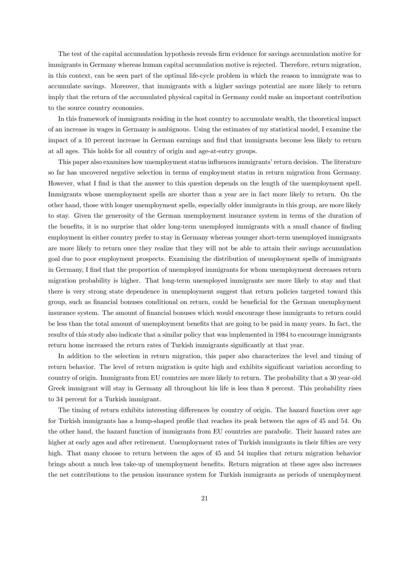The test of the capital accumulation hypothesis reveals firm evidence for savings accumulation motive for immigrants in Germany whereas human capital accumulation motive is rejected. Therefore, return migration, in this context, can be seen part of the optimal life-cycle problem in which the reason to immigrate was to accumulate savings. Moreover, that immigrants with a higher savings potential are more likely to return imply that the return of the accumulated physical capital in Germany could make an important contribution to the source country economies.

In this framework of immigrants residing in the host country to accumulate wealth, the theoretical impact of an increase in wages in Germany is ambiguous. Using the estimates of my statistical model, I examine the impact of a 10 percent increase in German earnings and find that immigrants become less likely to return at all ages. This holds for all country of origin and age-at-entry groups.

This paper also examines how unemployment status influences immigrants' return decision. The literature so far has uncovered negative selection in terms of employment status in return migration from Germany. However, what I find is that the answer to this question depends on the length of the unemployment spell. Immigrants whose unemployment spells are shorter than a year are in fact more likely to return. On the other hand, those with longer unemployment spells, especially older immigrants in this group, are more likely to stay. Given the generosity of the German unemployment insurance system in terms of the duration of the benefits, it is no surprise that older long-term unemployed immigrants with a small chance of finding employment in either country prefer to stay in Germany whereas younger short-term unemployed immigrants are more likely to return once they realize that they will not be able to attain their savings accumulation goal due to poor employment prospects. Examining the distribution of unemployment spells of immigrants in Germany, I find that the proportion of unemployed immigrants for whom unemployment decreases return migration probability is higher. That long-term unemployed immigrants are more likely to stay and that there is very strong state dependence in unemployment suggest that return policies targeted toward this group, such as financial bonuses conditional on return, could be beneficial for the German unemployment insurance system. The amount of financial bonuses which would encourage these immigrants to return could be less than the total amount of unemployment benefits that are going to be paid in many years. In fact, the results of this study also indicate that a similar policy that was implemented in 1984 to encourage immigrants return home increased the return rates of Turkish immigrants significantly at that year.

In addition to the selection in return migration, this paper also characterizes the level and timing of return behavior. The level of return migration is quite high and exhibits significant variation according to country of origin. Immigrants from EU countries are more likely to return. The probability that a 30 year-old Greek immigrant will stay in Germany all throughout his life is less than 8 percent. This probability rises to 34 percent for a Turkish immigrant.

The timing of return exhibits interesting differences by country of origin. The hazard function over age for Turkish immigrants has a hump-shaped profile that reaches its peak between the ages of 45 and 54. On the other hand, the hazard function of immigrants from EU countries are parabolic. Their hazard rates are higher at early ages and after retirement. Unemployment rates of Turkish immigrants in their fifties are very high. That many choose to return between the ages of 45 and 54 implies that return migration behavior brings about a much less take-up of unemployment benefits. Return migration at these ages also increases the net contributions to the pension insurance system for Turkish immigrants as periods of unemployment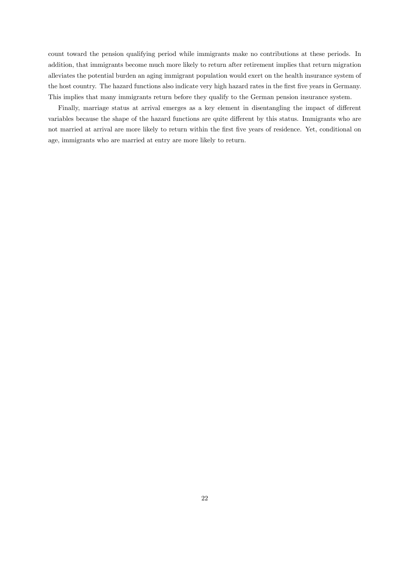count toward the pension qualifying period while immigrants make no contributions at these periods. In addition, that immigrants become much more likely to return after retirement implies that return migration alleviates the potential burden an aging immigrant population would exert on the health insurance system of the host country. The hazard functions also indicate very high hazard rates in the first five years in Germany. This implies that many immigrants return before they qualify to the German pension insurance system.

Finally, marriage status at arrival emerges as a key element in disentangling the impact of different variables because the shape of the hazard functions are quite different by this status. Immigrants who are not married at arrival are more likely to return within the first five years of residence. Yet, conditional on age, immigrants who are married at entry are more likely to return.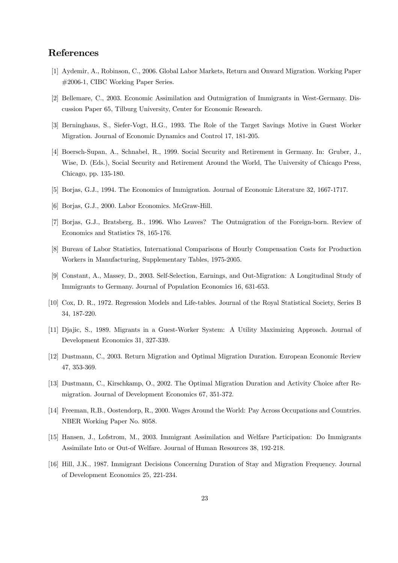# References

- [1] Aydemir, A., Robinson, C., 2006. Global Labor Markets, Return and Onward Migration. Working Paper #2006-1, CIBC Working Paper Series.
- [2] Bellemare, C., 2003. Economic Assimilation and Outmigration of Immigrants in West-Germany. Discussion Paper 65, Tilburg University, Center for Economic Research.
- [3] Berninghaus, S., Siefer-Vogt, H.G., 1993. The Role of the Target Savings Motive in Guest Worker Migration. Journal of Economic Dynamics and Control 17, 181-205.
- [4] Boersch-Supan, A., Schnabel, R., 1999. Social Security and Retirement in Germany. In: Gruber, J., Wise, D. (Eds.), Social Security and Retirement Around the World, The University of Chicago Press, Chicago, pp. 135-180.
- [5] Borjas, G.J., 1994. The Economics of Immigration. Journal of Economic Literature 32, 1667-1717.
- [6] Borjas, G.J., 2000. Labor Economics. McGraw-Hill.
- [7] Borjas, G.J., Bratsberg, B., 1996. Who Leaves? The Outmigration of the Foreign-born. Review of Economics and Statistics 78, 165-176.
- [8] Bureau of Labor Statistics, International Comparisons of Hourly Compensation Costs for Production Workers in Manufacturing, Supplementary Tables, 1975-2005.
- [9] Constant, A., Massey, D., 2003. Self-Selection, Earnings, and Out-Migration: A Longitudinal Study of Immigrants to Germany. Journal of Population Economics 16, 631-653.
- [10] Cox, D. R., 1972. Regression Models and Life-tables. Journal of the Royal Statistical Society, Series B 34, 187-220.
- [11] Djajic, S., 1989. Migrants in a Guest-Worker System: A Utility Maximizing Approach. Journal of Development Economics 31, 327-339.
- [12] Dustmann, C., 2003. Return Migration and Optimal Migration Duration. European Economic Review 47, 353-369.
- [13] Dustmann, C., Kirschkamp, O., 2002. The Optimal Migration Duration and Activity Choice after Remigration. Journal of Development Economics 67, 351-372.
- [14] Freeman, R.B., Oostendorp, R., 2000. Wages Around the World: Pay Across Occupations and Countries. NBER Working Paper No. 8058.
- [15] Hansen, J., Lofstrom, M., 2003. Immigrant Assimilation and Welfare Participation: Do Immigrants Assimilate Into or Out-of Welfare. Journal of Human Resources 38, 192-218.
- [16] Hill, J.K., 1987. Immigrant Decisions Concerning Duration of Stay and Migration Frequency. Journal of Development Economics 25, 221-234.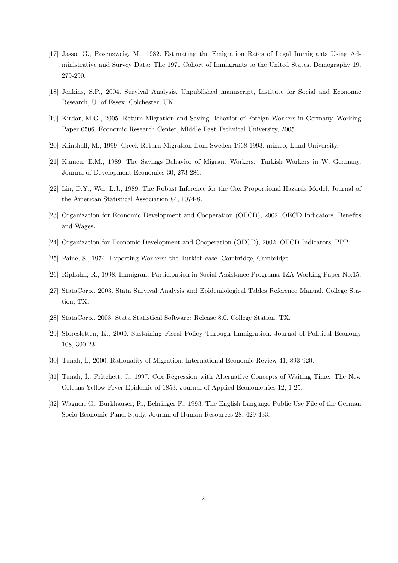- [17] Jasso, G., Rosenzweig, M., 1982. Estimating the Emigration Rates of Legal Immigrants Using Administrative and Survey Data: The 1971 Cohort of Immigrants to the United States. Demography 19, 279-290.
- [18] Jenkins, S.P., 2004. Survival Analysis. Unpublished manuscript, Institute for Social and Economic Research, U. of Essex, Colchester, UK.
- [19] Kirdar, M.G., 2005. Return Migration and Saving Behavior of Foreign Workers in Germany. Working Paper 0506, Economic Research Center, Middle East Technical University, 2005.
- [20] Klinthall, M., 1999. Greek Return Migration from Sweden 1968-1993. mimeo, Lund University.
- [21] Kumcu, E.M., 1989. The Savings Behavior of Migrant Workers: Turkish Workers in W. Germany. Journal of Development Economics 30, 273-286.
- [22] Lin, D.Y., Wei, L.J., 1989. The Robust Inference for the Cox Proportional Hazards Model. Journal of the American Statistical Association 84, 1074-8.
- [23] Organization for Economic Development and Cooperation (OECD), 2002. OECD Indicators, Benefits and Wages.
- [24] Organization for Economic Development and Cooperation (OECD), 2002. OECD Indicators, PPP.
- [25] Paine, S., 1974. Exporting Workers: the Turkish case. Cambridge, Cambridge.
- [26] Riphahn, R., 1998. Immigrant Participation in Social Assistance Programs. IZA Working Paper No:15.
- [27] StataCorp., 2003. Stata Survival Analysis and Epidemiological Tables Reference Manual. College Station, TX.
- [28] StataCorp., 2003. Stata Statistical Software: Release 8.0. College Station, TX.
- [29] Storesletten, K., 2000. Sustaining Fiscal Policy Through Immigration. Journal of Political Economy 108, 300-23.
- [30] Tunalı, I., 2000. Rationality of Migration. International Economic Review 41, 893-920.
- [31] Tunalı, İ., Pritchett, J., 1997. Cox Regression with Alternative Concepts of Waiting Time: The New Orleans Yellow Fever Epidemic of 1853. Journal of Applied Econometrics 12, 1-25.
- [32] Wagner, G., Burkhauser, R., Behringer F., 1993. The English Language Public Use File of the German Socio-Economic Panel Study. Journal of Human Resources 28, 429-433.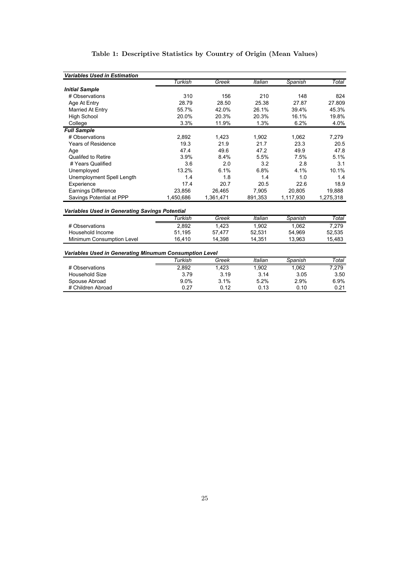| <b>Variables Used in Estimation</b>                    |           |           |                |           |           |
|--------------------------------------------------------|-----------|-----------|----------------|-----------|-----------|
|                                                        | Turkish   | Greek     | <b>Italian</b> | Spanish   | Total     |
| <b>Initial Sample</b>                                  |           |           |                |           |           |
| # Observations                                         | 310       | 156       | 210            | 148       | 824       |
| Age At Entry                                           | 28.79     | 28.50     | 25.38          | 27.87     | 27.809    |
| Married At Entry                                       | 55.7%     | 42.0%     | 26.1%          | 39.4%     | 45.3%     |
| <b>High School</b>                                     | 20.0%     | 20.3%     | 20.3%          | 16.1%     | 19.8%     |
| College                                                | 3.3%      | 11.9%     | 1.3%           | 6.2%      | 4.0%      |
| <b>Full Sample</b>                                     |           |           |                |           |           |
| # Observations                                         | 2,892     | 1,423     | 1,902          | 1,062     | 7,279     |
| <b>Years of Residence</b>                              | 19.3      | 21.9      | 21.7           | 23.3      | 20.5      |
| Age                                                    | 47.4      | 49.6      | 47.2           | 49.9      | 47.8      |
| <b>Qualifed to Retire</b>                              | 3.9%      | 8.4%      | 5.5%           | 7.5%      | 5.1%      |
| # Years Qualified                                      | 3.6       | 2.0       | 3.2            | 2.8       | 3.1       |
| Unemployed                                             | 13.2%     | 6.1%      | 6.8%           | 4.1%      | 10.1%     |
| Unemployment Spell Length                              | 1.4       | 1.8       | 1.4            | 1.0       | 1.4       |
| Experience                                             | 17.4      | 20.7      | 20.5           | 22.6      | 18.9      |
| Earnings Difference                                    | 23.856    | 26.465    | 7.905          | 20.805    | 19,888    |
| Savings Potential at PPP                               | 1,450,686 | 1,361,471 | 891,353        | 1,117,930 | 1,275,318 |
| <b>Variables Used in Generating Savings Potential</b>  |           |           |                |           |           |
|                                                        | Turkish   | Greek     | Italian        | Spanish   | Total     |
| # Observations                                         | 2.892     | 1,423     | 1,902          | 1.062     | 7,279     |
| Household Income                                       | 51,195    | 57,477    | 52,531         | 54,969    | 52,535    |
| Minimum Consumption Level                              | 16,410    | 14,398    | 14,351         | 13,963    | 15,483    |
| Variables Used in Generating Minumum Consumption Level |           |           |                |           |           |
|                                                        | Turkish   | Greek     | Italian        | Spanish   | Total     |
| # Observations                                         | 2,892     | 1,423     | 1,902          | 1,062     | 7,279     |
| <b>Household Size</b>                                  | 3.79      | 3.19      | 3.14           | 3.05      | 3.50      |
| Spouse Abroad                                          | 9.0%      | 3.1%      | 5.2%           | 2.9%      | 6.9%      |
| # Children Abroad                                      | 0.27      | 0.12      | 0.13           | 0.10      | 0.21      |

# Table 1: Descriptive Statistics by Country of Origin (Mean Values)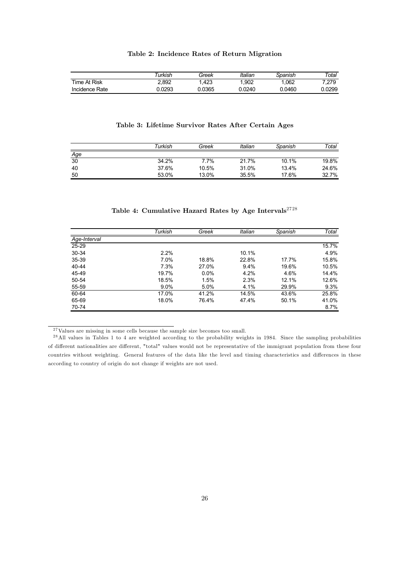|                | urkish | Greek  | Italian | Spanish | ™otal  |
|----------------|--------|--------|---------|---------|--------|
| Time At Risk   | 2.892  | .423   | .902    | .062    | 7.279  |
| Incidence Rate | 0.0293 | J.0365 | 0.0240  | 0.0460  | 0.0299 |

## Table 2: Incidence Rates of Return Migration

| Table 3: Lifetime Survivor Rates After Certain Ages |  |
|-----------------------------------------------------|--|
|-----------------------------------------------------|--|

|     | Turkish | Greek | Italian | Spanish | Total |
|-----|---------|-------|---------|---------|-------|
| Age |         |       |         |         |       |
| 30  | 34.2%   | 7.7%  | 21.7%   | 10.1%   | 19.8% |
| 40  | 37.6%   | 10.5% | 31.0%   | 13.4%   | 24.6% |
| 50  | 53.0%   | 13.0% | 35.5%   | 17.6%   | 32.7% |

|  | Table 4: Cumulative Hazard Rates by Age Intervals $^{2728}$ |  |  |  |  |  |
|--|-------------------------------------------------------------|--|--|--|--|--|
|--|-------------------------------------------------------------|--|--|--|--|--|

|              | Turkish | Greek | Italian | Spanish | Total |
|--------------|---------|-------|---------|---------|-------|
| Age-Interval |         |       |         |         |       |
| 25-29        |         |       |         |         | 15.7% |
| 30-34        | 2.2%    |       | 10.1%   |         | 4.9%  |
| 35-39        | 7.0%    | 18.8% | 22.8%   | 17.7%   | 15.8% |
| 40-44        | 7.3%    | 27.0% | 9.4%    | 19.6%   | 10.5% |
| 45-49        | 19.7%   | 0.0%  | 4.2%    | 4.6%    | 14.4% |
| 50-54        | 18.5%   | 1.5%  | 2.3%    | 12.1%   | 12.6% |
| 55-59        | $9.0\%$ | 5.0%  | 4.1%    | 29.9%   | 9.3%  |
| 60-64        | 17.0%   | 41.2% | 14.5%   | 43.6%   | 25.8% |
| 65-69        | 18.0%   | 76.4% | 47.4%   | 50.1%   | 41.0% |
| 70-74        |         |       |         |         | 8.7%  |

<sup>27</sup> Values are missing in some cells because the sample size becomes too small.

<sup>&</sup>lt;sup>28</sup> All values in Tables 1 to 4 are weighted according to the probability weights in 1984. Since the sampling probabilities of different nationalities are different, "total" values would not be representative of the immigrant population from these four countries without weighting. General features of the data like the level and timing characteristics and differences in these according to country of origin do not change if weights are not used.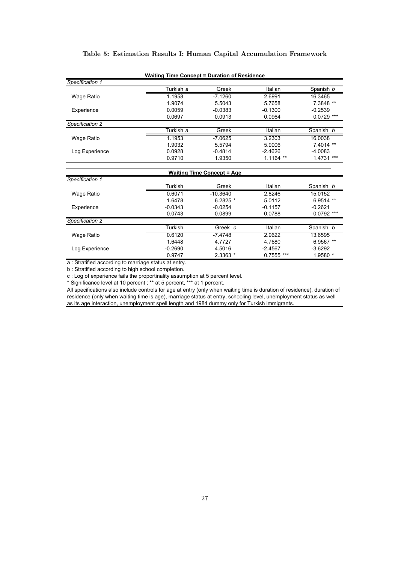## Table 5: Estimation Results I: Human Capital Accumulation Framework

| <b>Waiting Time Concept = Duration of Residence</b> |           |           |                 |               |  |
|-----------------------------------------------------|-----------|-----------|-----------------|---------------|--|
| Specification 1                                     |           |           |                 |               |  |
|                                                     | Turkish a | Greek     | Italian         | Spanish b     |  |
| Wage Ratio                                          | 1.1958    | $-7.1260$ | 2.6991          | 16.3465       |  |
|                                                     | 1.9074    | 5.5043    | 5.7658          | 7.3848 **     |  |
| Experience                                          | 0.0059    | $-0.0383$ | $-0.1300$       | $-0.2539$     |  |
|                                                     | 0.0697    | 0.0913    | 0.0964          | $0.0729$ ***  |  |
| Specification 2                                     |           |           |                 |               |  |
|                                                     | Turkish a | Greek     | Italian         | Spanish b     |  |
| Wage Ratio                                          | 1.1953    | $-7.0625$ | 3.2303          | 16.0038       |  |
|                                                     | 1.9032    | 5.5794    | 5.9006          | $7.4014$ **   |  |
| Log Experience                                      | 0.0928    | $-0.4814$ | $-2.4626$       | $-4.0083$     |  |
|                                                     | 0.9710    | 1.9350    | 1.1164<br>$***$ | ***<br>1.4731 |  |

| <b>Waiting Time Concept = Age</b> |           |            |               |              |  |
|-----------------------------------|-----------|------------|---------------|--------------|--|
| Specification 1                   |           |            |               |              |  |
|                                   | Turkish   | Greek      | Italian       | Spanish b    |  |
| Wage Ratio                        | 0.6071    | $-10.3640$ | 2.8246        | 15.0152      |  |
|                                   | 1.6478    | $6.2825*$  | 5.0112        | $6.9514$ **  |  |
| Experience                        | $-0.0343$ | $-0.0254$  | $-0.1157$     | $-0.2621$    |  |
|                                   | 0.0743    | 0.0899     | 0.0788        | $0.0792$ *** |  |
| Specification 2                   |           |            |               |              |  |
|                                   | Turkish   | Greek c    | Italian       | Spanish b    |  |
| Wage Ratio                        | 0.6120    | $-7.4748$  | 2.9622        | 13.6595      |  |
|                                   | 1.6448    | 4.7727     | 4.7680        | 6.9567 **    |  |
| Log Experience                    | $-0.2690$ | 4.5016     | $-2.4567$     | $-3.6292$    |  |
|                                   | 0.9747    | 2.3363 *   | ***<br>0.7555 | 1.9580 *     |  |

a : Stratified according to marriage status at entry.

b : Stratified according to high school completion.

c : Log of experience fails the proportinality assumption at 5 percent level.

\* Significance level at 10 percent ; \*\* at 5 percent, \*\*\* at 1 percent.

All specifications also include controls for age at entry (only when waiting time is duration of residence), duration of residence (only when waiting time is age), marriage status at entry, schooling level, unemployment status as well as its age interaction, unemployment spell length and 1984 dummy only for Turkish immigrants.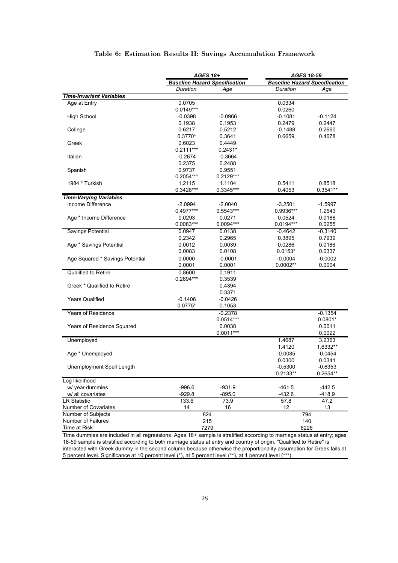|                                                    | AGES 18+    |                                      | AGES 18-59 |                                      |  |
|----------------------------------------------------|-------------|--------------------------------------|------------|--------------------------------------|--|
|                                                    |             | <b>Baseline Hazard Specification</b> |            | <b>Baseline Hazard Specification</b> |  |
|                                                    | Duration    | Age                                  | Duration   | Age                                  |  |
| <b>Time-Invariant Variables</b>                    |             |                                      |            |                                      |  |
| Age at Entry                                       | 0.0705      |                                      | 0.0334     |                                      |  |
|                                                    | $0.0149***$ |                                      | 0.0260     |                                      |  |
| <b>High School</b>                                 | $-0.0398$   | $-0.0966$                            | $-0.1081$  | $-0.1124$                            |  |
|                                                    | 0.1938      | 0.1953                               | 0.2479     | 0.2447                               |  |
| College                                            | 0.6217      | 0.5212                               | $-0.1488$  | 0.2660                               |  |
|                                                    | $0.3770*$   | 0.3641                               | 0.6659     | 0.4678                               |  |
| Greek                                              | 0.6023      | 0.4449                               |            |                                      |  |
|                                                    | $0.2111***$ | $0.2431*$                            |            |                                      |  |
| Italian                                            | $-0.2674$   | $-0.3664$                            |            |                                      |  |
|                                                    | 0.2375      | 0.2488                               |            |                                      |  |
| Spanish                                            | 0.9737      | 0.9551                               |            |                                      |  |
|                                                    | 0.2054***   | 0.2129***                            |            |                                      |  |
| 1984 * Turkish                                     | 1.2115      | 1.1104                               | 0.5411     | 0.8518                               |  |
|                                                    | 0.3428***   | 0.3345***                            | 0.4053     | $0.3541**$                           |  |
| <b>Time-Varying Variables</b><br>Income Difference | $-2.0994$   | $-2.0040$                            | $-3.2501$  | $-1.5997$                            |  |
|                                                    | 0.4977***   | 0.5543***                            | 0.9936***  |                                      |  |
| Age * Income Difference                            | 0.0293      | 0.0271                               | 0.0524     | 1.2543<br>0.0186                     |  |
|                                                    | 0.0083***   | 0.0094***                            | 0.0194***  | 0.0255                               |  |
| <b>Savings Potential</b>                           | 0.0947      | 0.0138                               | $-0.4642$  | $-0.3140$                            |  |
|                                                    | 0.2342      | 0.2965                               | 0.3895     | 0.7939                               |  |
| Age * Savings Potential                            | 0.0012      | 0.0039                               | 0.0286     | 0.0186                               |  |
|                                                    | 0.0083      | 0.0108                               | $0.0153*$  | 0.0337                               |  |
| Age Squared * Savings Potential                    | 0.0000      | $-0.0001$                            | $-0.0004$  | $-0.0002$                            |  |
|                                                    | 0.0001      | 0.0001                               | $0.0002**$ | 0.0004                               |  |
| Qualified to Retire                                | 0.8600      | 0.1911                               |            |                                      |  |
|                                                    | 0.2694***   | 0.3539                               |            |                                      |  |
| Greek * Qualified to Retire                        |             | 0.4394                               |            |                                      |  |
|                                                    |             | 0.3371                               |            |                                      |  |
| <b>Years Qualified</b>                             | $-0.1406$   | -0.0426                              |            |                                      |  |
|                                                    | $0.0775*$   | 0.1053                               |            |                                      |  |
| <b>Years of Residence</b>                          |             | $-0.2378$                            |            | $-0.1354$                            |  |
|                                                    |             | $0.0514***$                          |            | $0.0801*$                            |  |
| Years of Residence Squared                         |             | 0.0038                               |            | 0.0011                               |  |
|                                                    |             | $0.0011***$                          |            | 0.0022                               |  |
| Unemployed                                         |             |                                      | 1.4687     | 3.2363                               |  |
|                                                    |             |                                      | 1.4120     | 1.6332**                             |  |
| Age * Unemployed                                   |             |                                      | $-0.0085$  | $-0.0454$                            |  |
|                                                    |             |                                      | 0.0300     | 0.0341                               |  |
| Unemployment Spell Length                          |             |                                      | $-0.5300$  | $-0.6353$                            |  |
|                                                    |             |                                      | $0.2133**$ | $0.2654**$                           |  |
| Log likelihood                                     |             |                                      |            |                                      |  |
| w/ year dummies                                    | $-996.6$    | $-931.9$                             | $-461.5$   | $-442.5$                             |  |
| w/ all covariates                                  | $-929.8$    | $-895.0$                             | $-432.6$   | $-418.9$                             |  |
| <b>LR Statistic</b>                                | 133.6       | 73.9                                 | 57.8       | 47.2                                 |  |
| Number of Covariates                               | 14          | 16                                   | 12         | 13                                   |  |
| Number of Subjects                                 |             | 824                                  |            | 794                                  |  |
| Number of Failures                                 |             | 215                                  |            | 140                                  |  |
| Time at Risk                                       |             | 7279                                 |            | 6226                                 |  |

## Table 6: Estimation Results II: Savings Accumulation Framework

Time dummies are included in all regressions. Ages 18+ sample is stratified according to marriage status at entry; ages 18-59 sample is stratified according to both marriage status at entry and country of origin. "Qualified to Retire" is interacted with Greek dummy in the second column because otherwise the proportionality assumption for Greek fails at 5 percent level. Significance at 10 percent level (\*), at 5 percent level (\*\*), at 1 percent level (\*\*\*).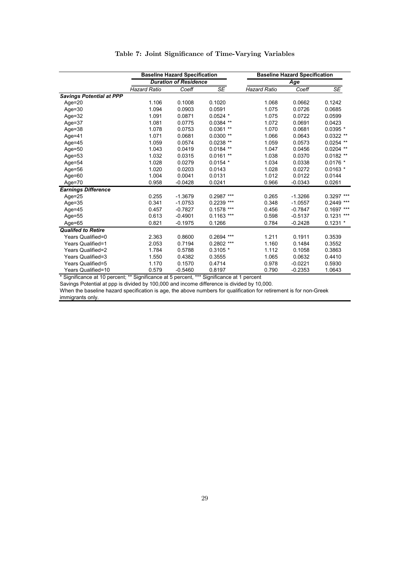|                                 | <b>Baseline Hazard Specification</b> |           |                 |                     | <b>Baseline Hazard Specification</b> |              |
|---------------------------------|--------------------------------------|-----------|-----------------|---------------------|--------------------------------------|--------------|
|                                 | <b>Duration of Residence</b>         |           |                 | Age                 |                                      |              |
|                                 | <b>Hazard Ratio</b>                  | Coeff     | SE              | <b>Hazard Ratio</b> | Coeff                                | SE           |
| <b>Savings Potential at PPP</b> |                                      |           |                 |                     |                                      |              |
| $Age = 20$                      | 1.106                                | 0.1008    | 0.1020          | 1.068               | 0.0662                               | 0.1242       |
| Age= $30$                       | 1.094                                | 0.0903    | 0.0591          | 1.075               | 0.0726                               | 0.0685       |
| Age= $32$                       | 1.091                                | 0.0871    | $0.0524$ *      | 1.075               | 0.0722                               | 0.0599       |
| Age= $37$                       | 1.081                                | 0.0775    | $0.0384$ **     | 1.072               | 0.0691                               | 0.0423       |
| Age= $38$                       | 1.078                                | 0.0753    | $0.0361**$      | 1.070               | 0.0681                               | $0.0395*$    |
| Age=41                          | 1.071                                | 0.0681    | $0.0300**$      | 1.066               | 0.0643                               | $0.0322**$   |
| Age= $45$                       | 1.059                                | 0.0574    | $0.0238**$      | 1.059               | 0.0573                               | $0.0254$ **  |
| Age= $50$                       | 1.043                                | 0.0419    | $0.0184$ **     | 1.047               | 0.0456                               | $0.0204$ **  |
| Age= $53$                       | 1.032                                | 0.0315    | $0.0161**$      | 1.038               | 0.0370                               | $0.0182**$   |
| Age=54                          | 1.028                                | 0.0279    | $0.0154*$       | 1.034               | 0.0338                               | $0.0176*$    |
| Age= $56$                       | 1.020                                | 0.0203    | 0.0143          | 1.028               | 0.0272                               | $0.0163$ *   |
| Age= $60$                       | 1.004                                | 0.0041    | 0.0131          | 1.012               | 0.0122                               | 0.0144       |
| Age= $70$                       | 0.958                                | $-0.0428$ | 0.0241          | 0.966               | $-0.0343$                            | 0.0261       |
| <b>Earnings Difference</b>      |                                      |           |                 |                     |                                      |              |
| Age= $25$                       | 0.255                                | $-1.3679$ | $0.2987***$     | 0.265               | $-1.3266$                            | 0.3297 ***   |
| $Age = 35$                      | 0.341                                | $-1.0753$ | $0.2239$ ***    | 0.348               | $-1.0557$                            | $0.2449$ *** |
| Age= $45$                       | 0.457                                | $-0.7827$ | $***$<br>0.1578 | 0.456               | $-0.7847$                            | $0.1697$ *** |
| Age= $55$                       | 0.613                                | $-0.4901$ | $0.1163$ ***    | 0.598               | $-0.5137$                            | $0.1231$ *** |
| Age= $65$                       | 0.821                                | $-0.1975$ | 0.1266          | 0.784               | $-0.2428$                            | $0.1231 *$   |
| <b>Qualifed to Retire</b>       |                                      |           |                 |                     |                                      |              |
| Years Qualified=0               | 2.363                                | 0.8600    | $0.2694$ ***    | 1.211               | 0.1911                               | 0.3539       |
| Years Qualified=1               | 2.053                                | 0.7194    | $0.2802$ ***    | 1.160               | 0.1484                               | 0.3552       |
| Years Qualified=2               | 1.784                                | 0.5788    | $0.3105*$       | 1.112               | 0.1058                               | 0.3863       |
| Years Qualified=3               | 1.550                                | 0.4382    | 0.3555          | 1.065               | 0.0632                               | 0.4410       |
| Years Qualified=5               | 1.170                                | 0.1570    | 0.4714          | 0.978               | $-0.0221$                            | 0.5930       |
| Years Qualified=10              | 0.579                                | $-0.5460$ | 0.8197          | 0.790               | $-0.2353$                            | 1.0643       |

## Table 7: Joint Significance of Time-Varying Variables

\* Significance at 10 percent; \*\* Significance at 5 percent, \*\*\* Significance at 1 percent

Savings Potential at ppp is divided by 100,000 and income difference is divided by 10,000.

When the baseline hazard specification is age, the above numbers for qualification for retirement is for non-Greek immigrants only.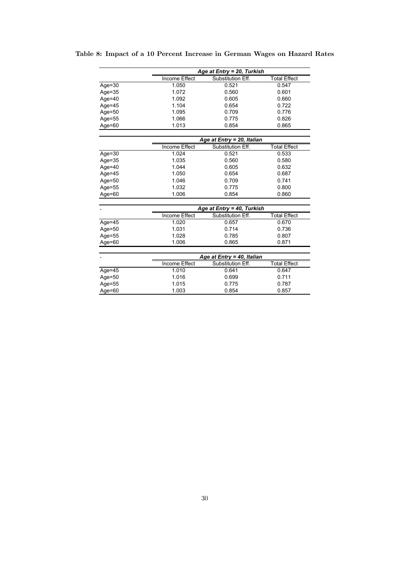Table 8: Impact of a 10 Percent Increase in German Wages on Hazard Rates

|           |                      | Age at Entry = 20, Turkish        |                     |
|-----------|----------------------|-----------------------------------|---------------------|
|           | <b>Income Effect</b> | Substitution Eff.                 | <b>Total Effect</b> |
| Age= $30$ | 1.050                | 0.521                             | 0.547               |
| Age= $35$ | 1.072                | 0.560                             | 0.601               |
| Age= $40$ | 1.092                | 0.605                             | 0.660               |
| Age= $45$ | 1.104                | 0.654                             | 0.722               |
| Age= $50$ | 1.095                | 0.709                             | 0.776               |
| Age=55    | 1.066                | 0.775                             | 0.826               |
| Age= $60$ | 1.013                | 0.854                             | 0.865               |
|           |                      |                                   |                     |
|           |                      | <u>Age at Entry = 20, Italian</u> |                     |
|           | Income Effect        | Substitution Eff.                 | <b>Total Effect</b> |
| Age= $30$ | 1.024                | 0.521                             | 0.533               |
| Age= $35$ | 1.035                | 0.560                             | 0.580               |
| Age= $40$ | 1.044                | 0.605                             | 0.632               |
| Age= $45$ | 1.050                | 0.654                             | 0.687               |
| Age= $50$ | 1.046                | 0.709                             | 0.741               |
| Age= $55$ | 1.032                | 0.775                             | 0.800               |
| Age= $60$ | 1.006                | 0.854                             | 0.860               |
|           |                      | Age at Entry = 40, Turkish        |                     |
|           | Income Effect        | Substitution Eff.                 | <b>Total Effect</b> |
| Age= $45$ | 1.020                | 0.657                             | 0.670               |
| Age= $50$ | 1.031                | 0.714                             | 0.736               |
| Age=55    | 1.028                | 0.785                             | 0.807               |
| Age= $60$ | 1.006                | 0.865                             | 0.871               |
|           |                      |                                   |                     |
|           |                      | Age at Entry = 40, Italian        |                     |
|           | Income Effect        | Substitution Eff.                 | <b>Total Effect</b> |
| Age= $45$ | 1.010                | 0.641                             | 0.647               |
| Age= $50$ | 1.016                | 0.699                             | 0.711               |
| Age= $55$ | 1.015                | 0.775                             | 0.787               |
| Age= $60$ | 1.003                | 0.854                             | 0.857               |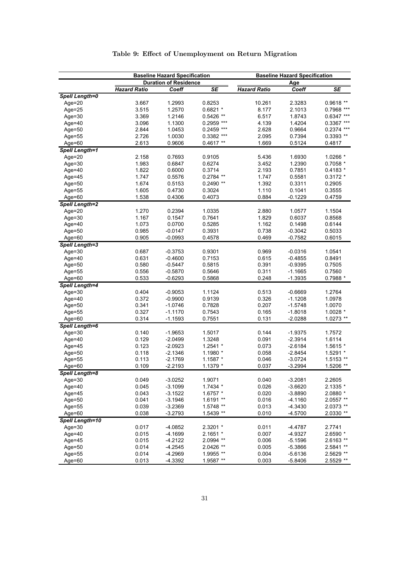|                        |                     | <b>Baseline Hazard Specification</b> |              | <b>Baseline Hazard Specification</b> |                        |                          |
|------------------------|---------------------|--------------------------------------|--------------|--------------------------------------|------------------------|--------------------------|
|                        |                     | <b>Duration of Residence</b>         |              |                                      | <u>Age</u>             |                          |
|                        | <b>Hazard Ratio</b> | Coeff                                | <b>SE</b>    | <b>Hazard Ratio</b>                  | Coeff                  | $\overline{\mathsf{SE}}$ |
| <b>Spell Length=0</b>  |                     |                                      |              |                                      |                        |                          |
| Age= $20$              | 3.667               | 1.2993                               | 0.8253       | 10.261                               | 2.3283                 | $0.9618**$               |
| Age=25                 | 3.515               | 1.2570                               | $0.6821 *$   | 8.177                                | 2.1013                 | 0.7968 ***               |
| $Age = 30$             | 3.369               | 1.2146                               | 0.5426 **    | 6.517                                | 1.8743                 | $0.6347$ ***             |
| Age= $40$              | 3.096               | 1.1300                               | 0.2959 ***   | 4.139                                | 1.4204                 | $0.3367$ ***             |
| Age= $50$              | 2.844               | 1.0453                               | $0.2459$ *** | 2.628                                | 0.9664                 | $0.2374$ ***             |
| Age=55                 | 2.726               | 1.0030                               | 0.3382 ***   | 2.095                                | 0.7394                 | 0.3393 **                |
| Age= $60$              | 2.613               | 0.9606                               | $0.4617**$   | 1.669                                | 0.5124                 | 0.4817                   |
| <b>Spell Length=1</b>  |                     |                                      |              |                                      |                        |                          |
| Age=20                 | 2.158               | 0.7693                               | 0.9105       | 5.436                                | 1.6930                 | 1.0266 *                 |
| Age= $30$              | 1.983               | 0.6847                               | 0.6274       | 3.452                                | 1.2390                 | $0.7058 *$               |
| Age= $40$              | 1.822               | 0.6000                               | 0.3714       | 2.193                                | 0.7851                 | $0.4183 *$               |
| Age= $45$              | 1.747               | 0.5576                               | $0.2784$ **  | 1.747                                | 0.5581                 | $0.3172*$                |
| Age=50                 | 1.674               | 0.5153                               | $0.2490**$   | 1.392                                | 0.3311                 | 0.2905                   |
| Age=55                 | 1.605               | 0.4730                               | 0.3024       | 1.110                                | 0.1041                 | 0.3555                   |
| Age= $60$              | 1.538               | 0.4306                               | 0.4073       | 0.884                                | $-0.1229$              | 0.4759                   |
| <b>Spell Length=2</b>  |                     |                                      |              |                                      |                        |                          |
| Age=20                 | 1.270               | 0.2394                               | 1.0335       | 2.880                                | 1.0577                 | 1.1504                   |
| Age= $30$              | 1.167               | 0.1547                               | 0.7641       | 1.829                                | 0.6037                 | 0.8568                   |
| Age=40                 | 1.073               | 0.0700                               | 0.5285       | 1.162                                | 0.1498                 | 0.6144                   |
| Age=50                 | 0.985               | $-0.0147$                            | 0.3931       | 0.738                                | $-0.3042$              | 0.5033                   |
| Age= $60$              | 0.905               | $-0.0993$                            | 0.4578       | 0.469                                | $-0.7582$              | 0.6015                   |
| <b>Spell Length=3</b>  |                     |                                      |              |                                      |                        |                          |
|                        | 0.687               | $-0.3753$                            | 0.9301       | 0.969                                | $-0.0316$              | 1.0541                   |
| $Age = 30$<br>Age=40   | 0.631               | $-0.4600$                            | 0.7153       | 0.615                                | $-0.4855$              | 0.8491                   |
|                        | 0.580               | $-0.5447$                            | 0.5815       | 0.391                                | $-0.9395$              | 0.7505                   |
| Age= $50$              |                     |                                      | 0.5646       |                                      |                        |                          |
| Age=55<br>Age=60       | 0.556<br>0.533      | $-0.5870$<br>$-0.6293$               | 0.5868       | 0.311<br>0.248                       | $-1.1665$<br>$-1.3935$ | 0.7560<br>0.7988 *       |
|                        |                     |                                      |              |                                      |                        |                          |
| <b>Spell Length=4</b>  |                     |                                      |              |                                      |                        |                          |
| $Age = 30$             | 0.404               | $-0.9053$                            | 1.1124       | 0.513                                | $-0.6669$              | 1.2764                   |
| Age= $40$              | 0.372               | $-0.9900$                            | 0.9139       | 0.326                                | $-1.1208$              | 1.0978                   |
| Age=50                 | 0.341               | $-1.0746$                            | 0.7828       | 0.207                                | $-1.5748$              | 1.0070                   |
| Age= $55$              | 0.327               | $-1.1170$                            | 0.7543       | 0.165                                | $-1.8018$              | 1.0028 *                 |
| Age= $60$              | 0.314               | $-1.1593$                            | 0.7551       | 0.131                                | $-2.0288$              | 1.0273 **                |
| <b>Spell Length=6</b>  |                     |                                      |              |                                      |                        |                          |
| $Age = 30$             | 0.140               | $-1.9653$                            | 1.5017       | 0.144                                | $-1.9375$              | 1.7572                   |
| Age= $40$              | 0.129               | $-2.0499$                            | 1.3248       | 0.091                                | $-2.3914$              | 1.6114                   |
| Age= $45$              | 0.123               | $-2.0923$                            | 1.2541 *     | 0.073                                | $-2.6184$              | 1.5615 *                 |
| Age= $50$              | 0.118               | $-2.1346$                            | 1.1980 *     | 0.058                                | $-2.8454$              | 1.5291 *                 |
| Age= $55$              | 0.113               | $-2.1769$                            | 1.1587 *     | 0.046                                | $-3.0724$              | $1.5153**$               |
| Age=60                 | 0.109               | $-2.2193$                            | 1.1379 *     | 0.037                                | $-3.2994$              | 1.5206 **                |
| Spell Length=8         |                     |                                      |              |                                      |                        |                          |
| Age= $30$              | 0.049               | $-3.0252$                            | 1.9071       | 0.040                                | $-3.2081$              | 2.2605                   |
| Age=40                 | 0.045               | $-3.1099$                            | $1.7434*$    | 0.026                                | $-3.6620$              | 2.1335 *                 |
| Age=45                 | 0.043               | $-3.1522$                            | 1.6757 *     | 0.020                                | $-3.8890$              | 2.0880 *                 |
| Age= $50$              | 0.041               | $-3.1946$                            | 1.6191 **    | 0.016                                | $-4.1160$              | 2.0557 **                |
| Age=55                 | 0.039               | $-3.2369$                            | 1.5748 **    | 0.013                                | $-4.3430$              | 2.0373 **                |
| Age= $60$              | 0.038               | $-3.2793$                            | 1.5439 **    | 0.010                                | $-4.5700$              | 2.0330 **                |
| <b>Spell Length=10</b> |                     |                                      |              |                                      |                        |                          |
| Age= $30$              | 0.017               | $-4.0852$                            | 2.3201 *     | 0.011                                | $-4.4787$              | 2.7741                   |
| Age= $40$              | 0.015               | $-4.1699$                            | $2.1651*$    | 0.007                                | -4.9327                | 2.6590 *                 |
| Age=45                 | 0.015               | $-4.2122$                            | 2.0994 **    | 0.006                                | $-5.1596$              | 2.6163 **                |
| Age= $50$              | 0.014               | $-4.2545$                            | 2.0426 **    | 0.005                                | $-5.3866$              | 2.5841 **                |
| Age= $55$              | 0.014               | $-4.2969$                            | 1.9955 **    | 0.004                                | $-5.6136$              | 2.5629 **                |
| Age=60                 | 0.013               | $-4.3392$                            | 1.9587 **    | 0.003                                | $-5.8406$              | 2.5529 **                |

# Table 9: Effect of Unemployment on Return Migration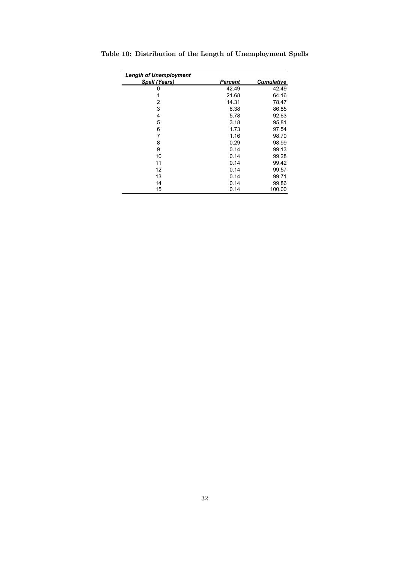| <b>Length of Unemployment</b> |         |                   |
|-------------------------------|---------|-------------------|
| Spell (Years)                 | Percent | <b>Cumulative</b> |
|                               | 42.49   | 42.49             |
| 1                             | 21.68   | 64.16             |
| 2                             | 14.31   | 78.47             |
| 3                             | 8.38    | 86.85             |
| 4                             | 5.78    | 92.63             |
| 5                             | 3.18    | 95.81             |
| 6                             | 1.73    | 97.54             |
| 7                             | 1.16    | 98.70             |
| 8                             | 0.29    | 98.99             |
| 9                             | 0.14    | 99.13             |
| 10                            | 0.14    | 99.28             |
| 11                            | 0.14    | 99.42             |
| 12                            | 0.14    | 99.57             |
| 13                            | 0.14    | 99.71             |
| 14                            | 0.14    | 99.86             |
| 15                            | 0.14    | 100.00            |

Table 10: Distribution of the Length of Unemployment Spells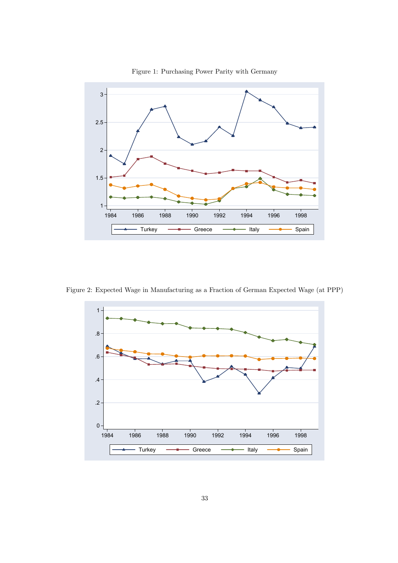

Figure 1: Purchasing Power Parity with Germany

Figure 2: Expected Wage in Manufacturing as a Fraction of German Expected Wage (at PPP)